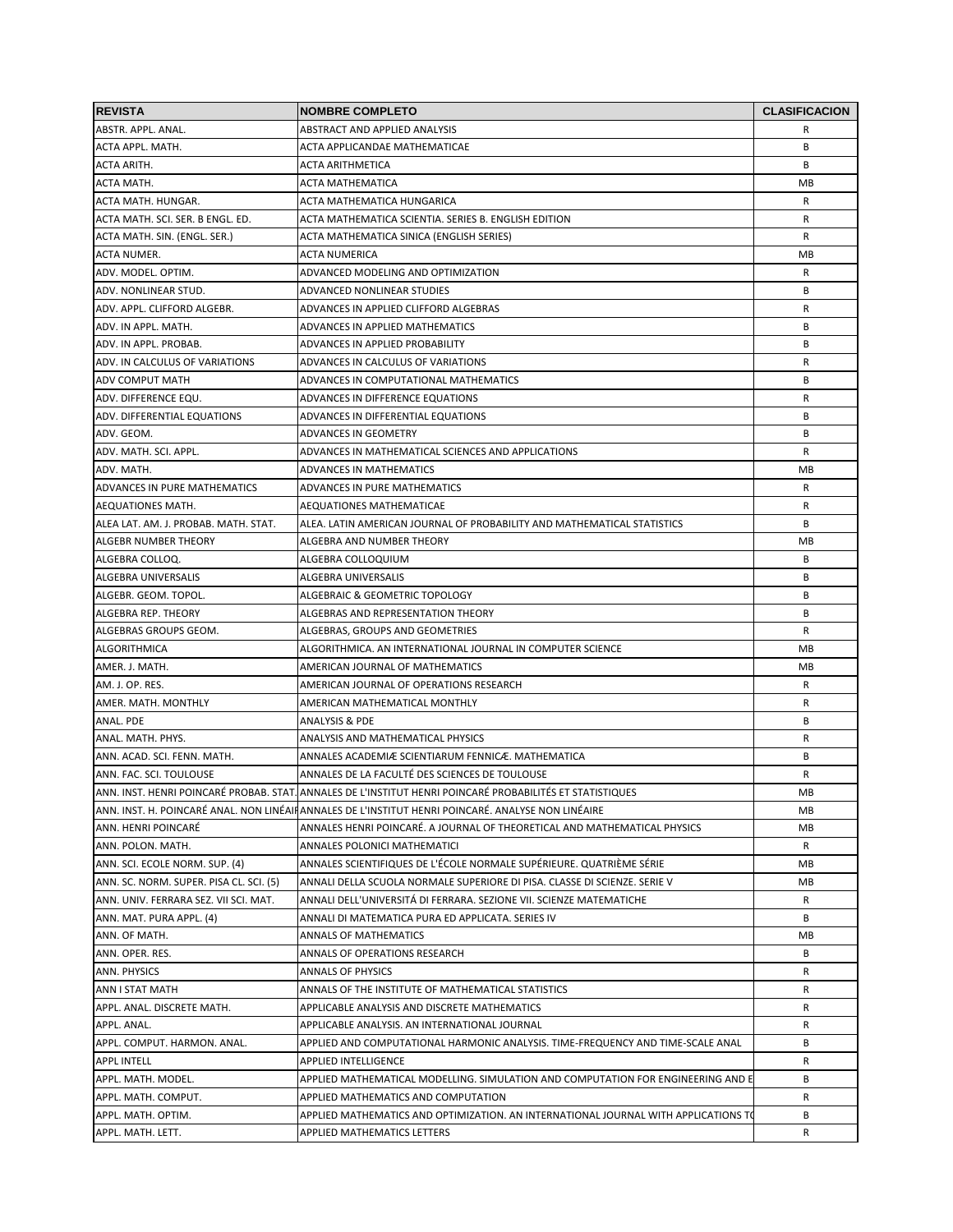| <b>REVISTA</b>                          | <b>NOMBRE COMPLETO</b>                                                                                    | <b>CLASIFICACION</b> |
|-----------------------------------------|-----------------------------------------------------------------------------------------------------------|----------------------|
| ABSTR. APPL. ANAL.                      | ABSTRACT AND APPLIED ANALYSIS                                                                             | R                    |
| ACTA APPL. MATH.                        | ACTA APPLICANDAE MATHEMATICAE                                                                             | B                    |
| <b>ACTA ARITH.</b>                      | <b>ACTA ARITHMETICA</b>                                                                                   | В                    |
| ACTA MATH.                              | <b>ACTA MATHEMATICA</b>                                                                                   | MВ                   |
| ACTA MATH. HUNGAR.                      | ACTA MATHEMATICA HUNGARICA                                                                                | R                    |
| ACTA MATH. SCI. SER. B ENGL. ED.        | ACTA MATHEMATICA SCIENTIA. SERIES B. ENGLISH EDITION                                                      | R                    |
| ACTA MATH. SIN. (ENGL. SER.)            | ACTA MATHEMATICA SINICA (ENGLISH SERIES)                                                                  | R                    |
| <b>ACTA NUMER.</b>                      | <b>ACTA NUMERICA</b>                                                                                      | MВ                   |
| ADV. MODEL. OPTIM.                      | ADVANCED MODELING AND OPTIMIZATION                                                                        | R                    |
| ADV. NONLINEAR STUD.                    | ADVANCED NONLINEAR STUDIES                                                                                | В                    |
| ADV. APPL. CLIFFORD ALGEBR.             | ADVANCES IN APPLIED CLIFFORD ALGEBRAS                                                                     | R                    |
| ADV. IN APPL. MATH.                     | ADVANCES IN APPLIED MATHEMATICS                                                                           | В                    |
| ADV. IN APPL. PROBAB.                   | ADVANCES IN APPLIED PROBABILITY                                                                           | B                    |
| ADV. IN CALCULUS OF VARIATIONS          | ADVANCES IN CALCULUS OF VARIATIONS                                                                        | R                    |
| <b>ADV COMPUT MATH</b>                  | ADVANCES IN COMPUTATIONAL MATHEMATICS                                                                     | В                    |
| ADV. DIFFERENCE EQU.                    | ADVANCES IN DIFFERENCE EQUATIONS                                                                          | R                    |
| ADV. DIFFERENTIAL EQUATIONS             | ADVANCES IN DIFFERENTIAL EQUATIONS                                                                        | B                    |
| ADV. GEOM.                              | ADVANCES IN GEOMETRY                                                                                      | B                    |
| ADV. MATH. SCI. APPL.                   | ADVANCES IN MATHEMATICAL SCIENCES AND APPLICATIONS                                                        | R                    |
| ADV. MATH.                              | ADVANCES IN MATHEMATICS                                                                                   | MВ                   |
| ADVANCES IN PURE MATHEMATICS            | ADVANCES IN PURE MATHEMATICS                                                                              | R                    |
| AEQUATIONES MATH.                       | AEQUATIONES MATHEMATICAE                                                                                  | R                    |
| ALEA LAT. AM. J. PROBAB. MATH. STAT.    | ALEA. LATIN AMERICAN JOURNAL OF PROBABILITY AND MATHEMATICAL STATISTICS                                   | В                    |
| <b>ALGEBR NUMBER THEORY</b>             | ALGEBRA AND NUMBER THEORY                                                                                 | MВ                   |
| ALGEBRA COLLOQ.                         | ALGEBRA COLLOQUIUM                                                                                        | B                    |
| ALGEBRA UNIVERSALIS                     | ALGEBRA UNIVERSALIS                                                                                       | B                    |
| ALGEBR. GEOM. TOPOL.                    | ALGEBRAIC & GEOMETRIC TOPOLOGY                                                                            | В                    |
| ALGEBRA REP. THEORY                     | ALGEBRAS AND REPRESENTATION THEORY                                                                        | В                    |
| ALGEBRAS GROUPS GEOM.                   | ALGEBRAS, GROUPS AND GEOMETRIES                                                                           | R                    |
| <b>ALGORITHMICA</b>                     | ALGORITHMICA. AN INTERNATIONAL JOURNAL IN COMPUTER SCIENCE                                                | MB                   |
| AMER. J. MATH.                          | AMERICAN JOURNAL OF MATHEMATICS                                                                           | MВ                   |
| AM. J. OP. RES.                         | AMERICAN JOURNAL OF OPERATIONS RESEARCH                                                                   | R                    |
| AMER. MATH. MONTHLY                     | AMERICAN MATHEMATICAL MONTHLY                                                                             | R                    |
| ANAL. PDE                               | <b>ANALYSIS &amp; PDE</b>                                                                                 | В                    |
| ANAL. MATH. PHYS.                       | ANALYSIS AND MATHEMATICAL PHYSICS                                                                         | R                    |
| ANN. ACAD. SCI. FENN. MATH.             | ANNALES ACADEMIÆ SCIENTIARUM FENNICÆ. MATHEMATICA                                                         | В                    |
| ANN. FAC. SCI. TOULOUSE                 | ANNALES DE LA FACULTÉ DES SCIENCES DE TOULOUSE                                                            | R                    |
|                                         | ANN. INST. HENRI POINCARÉ PROBAB. STAT. ANNALES DE L'INSTITUT HENRI POINCARÉ PROBABILITÉS ET STATISTIQUES | МB                   |
|                                         | ANN. INST. H. POINCARÉ ANAL. NON LINÉAIRANNALES DE L'INSTITUT HENRI POINCARÉ. ANALYSE NON LINÉAIRE        | MВ                   |
| ANN. HENRI POINCARÉ                     | ANNALES HENRI POINCARÉ. A JOURNAL OF THEORETICAL AND MATHEMATICAL PHYSICS                                 | MВ                   |
| ANN. POLON. MATH.                       | ANNALES POLONICI MATHEMATICI                                                                              | R                    |
| ANN. SCI. ECOLE NORM. SUP. (4)          | ANNALES SCIENTIFIQUES DE L'ÉCOLE NORMALE SUPÉRIEURE. QUATRIÈME SÉRIE                                      | MВ                   |
| ANN. SC. NORM. SUPER. PISA CL. SCI. (5) | ANNALI DELLA SCUOLA NORMALE SUPERIORE DI PISA. CLASSE DI SCIENZE. SERIE V                                 | MВ                   |
| ANN. UNIV. FERRARA SEZ. VII SCI. MAT.   | ANNALI DELL'UNIVERSITÁ DI FERRARA. SEZIONE VII. SCIENZE MATEMATICHE                                       | R                    |
| ANN. MAT. PURA APPL. (4)                | ANNALI DI MATEMATICA PURA ED APPLICATA. SERIES IV                                                         | В                    |
| ANN. OF MATH.                           | ANNALS OF MATHEMATICS                                                                                     | MВ                   |
| ANN. OPER. RES.                         | ANNALS OF OPERATIONS RESEARCH                                                                             | В                    |
| ANN. PHYSICS                            | <b>ANNALS OF PHYSICS</b>                                                                                  | R                    |
| ANN I STAT MATH                         | ANNALS OF THE INSTITUTE OF MATHEMATICAL STATISTICS                                                        | R                    |
| APPL. ANAL. DISCRETE MATH.              | APPLICABLE ANALYSIS AND DISCRETE MATHEMATICS                                                              | R                    |
| APPL. ANAL.                             | APPLICABLE ANALYSIS. AN INTERNATIONAL JOURNAL                                                             | R                    |
| APPL. COMPUT. HARMON. ANAL.             | APPLIED AND COMPUTATIONAL HARMONIC ANALYSIS. TIME-FREQUENCY AND TIME-SCALE ANAL                           | В                    |
|                                         |                                                                                                           |                      |
| <b>APPL INTELL</b>                      | APPLIED INTELLIGENCE                                                                                      | R<br>В               |
| APPL. MATH. MODEL.                      | APPLIED MATHEMATICAL MODELLING. SIMULATION AND COMPUTATION FOR ENGINEERING AND E                          |                      |
| APPL. MATH. COMPUT.                     | APPLIED MATHEMATICS AND COMPUTATION                                                                       | R                    |
| APPL. MATH. OPTIM.                      | APPLIED MATHEMATICS AND OPTIMIZATION. AN INTERNATIONAL JOURNAL WITH APPLICATIONS TO                       | В                    |
| APPL. MATH. LETT.                       | APPLIED MATHEMATICS LETTERS                                                                               | R                    |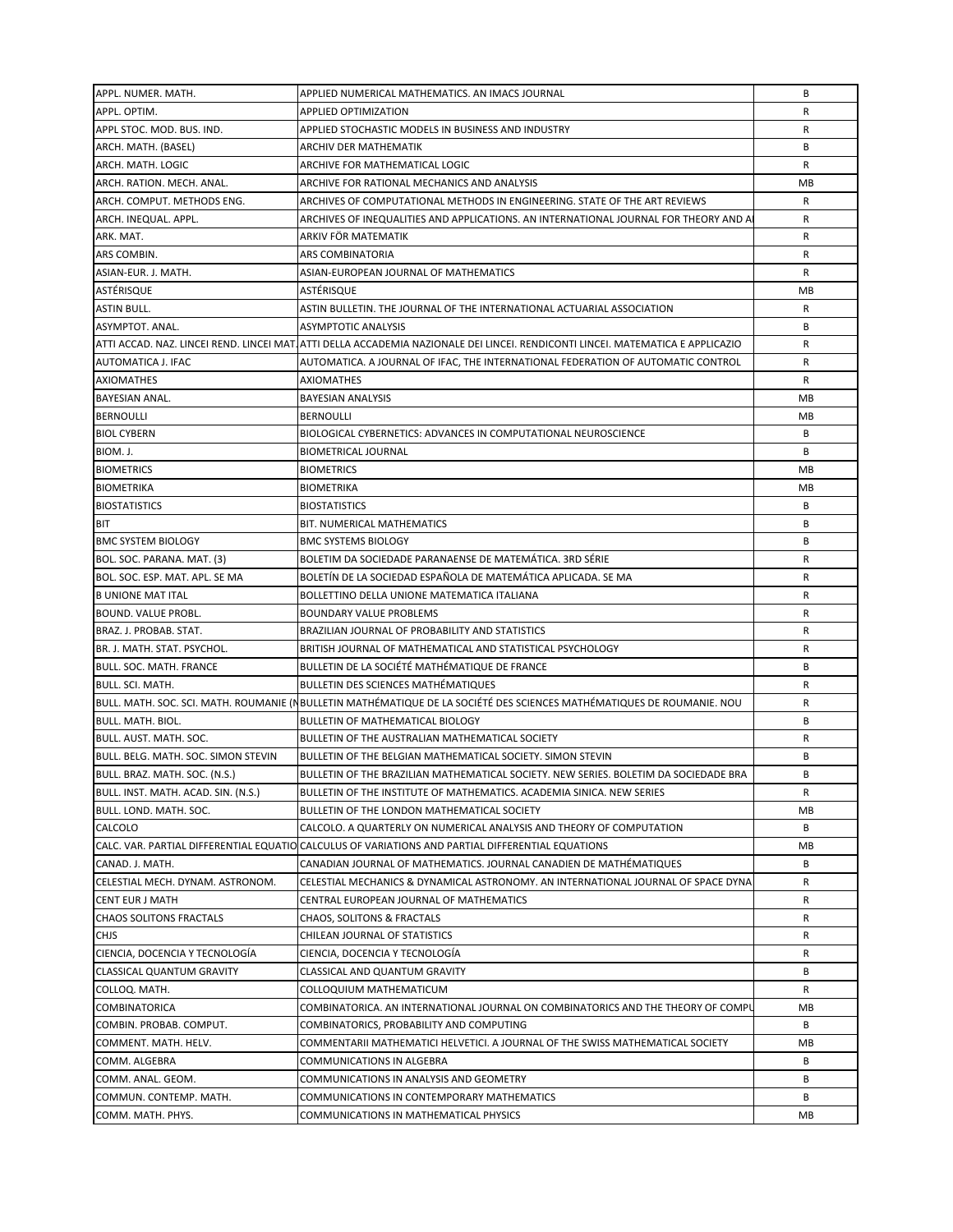| APPL. NUMER. MATH.                  | APPLIED NUMERICAL MATHEMATICS. AN IMACS JOURNAL                                                                                | B  |
|-------------------------------------|--------------------------------------------------------------------------------------------------------------------------------|----|
| APPL. OPTIM.                        | APPLIED OPTIMIZATION                                                                                                           | R  |
| APPL STOC. MOD. BUS. IND.           | APPLIED STOCHASTIC MODELS IN BUSINESS AND INDUSTRY                                                                             | R  |
| ARCH. MATH. (BASEL)                 | ARCHIV DER MATHEMATIK                                                                                                          | B  |
| ARCH. MATH. LOGIC                   | ARCHIVE FOR MATHEMATICAL LOGIC                                                                                                 | R  |
| ARCH. RATION. MECH. ANAL.           | ARCHIVE FOR RATIONAL MECHANICS AND ANALYSIS                                                                                    | MB |
| ARCH. COMPUT. METHODS ENG.          | ARCHIVES OF COMPUTATIONAL METHODS IN ENGINEERING. STATE OF THE ART REVIEWS                                                     | R  |
| ARCH. INEQUAL. APPL.                | ARCHIVES OF INEQUALITIES AND APPLICATIONS. AN INTERNATIONAL JOURNAL FOR THEORY AND A                                           | R  |
| ARK. MAT.                           | ARKIV FÖR MATEMATIK                                                                                                            | R  |
| ARS COMBIN.                         | ARS COMBINATORIA                                                                                                               | R  |
| ASIAN-EUR. J. MATH.                 | ASIAN-EUROPEAN JOURNAL OF MATHEMATICS                                                                                          | R  |
| ASTÉRISQUE                          | ASTÉRISQUE                                                                                                                     | MB |
| <b>ASTIN BULL.</b>                  | ASTIN BULLETIN. THE JOURNAL OF THE INTERNATIONAL ACTUARIAL ASSOCIATION                                                         | R  |
| ASYMPTOT. ANAL.                     | ASYMPTOTIC ANALYSIS                                                                                                            | B  |
|                                     | ATTI ACCAD. NAZ. LINCEI REND. LINCEI MAT ATTI DELLA ACCADEMIA NAZIONALE DEI LINCEI. RENDICONTI LINCEI. MATEMATICA E APPLICAZIO | R  |
| AUTOMATICA J. IFAC                  | AUTOMATICA. A JOURNAL OF IFAC, THE INTERNATIONAL FEDERATION OF AUTOMATIC CONTROL                                               | R  |
| <b>AXIOMATHES</b>                   | <b>AXIOMATHES</b>                                                                                                              | R  |
| <b>BAYESIAN ANAL.</b>               | <b>BAYESIAN ANALYSIS</b>                                                                                                       | MB |
| <b>BERNOULLI</b>                    | <b>BERNOULLI</b>                                                                                                               | MB |
| <b>BIOL CYBERN</b>                  | BIOLOGICAL CYBERNETICS: ADVANCES IN COMPUTATIONAL NEUROSCIENCE                                                                 | B  |
| BIOM. J.                            | <b>BIOMETRICAL JOURNAL</b>                                                                                                     | B  |
| <b>BIOMETRICS</b>                   | <b>BIOMETRICS</b>                                                                                                              | MB |
| <b>BIOMETRIKA</b>                   | <b>BIOMETRIKA</b>                                                                                                              | MB |
| <b>BIOSTATISTICS</b>                | <b>BIOSTATISTICS</b>                                                                                                           | B  |
| BIT                                 | BIT. NUMERICAL MATHEMATICS                                                                                                     | B  |
| <b>BMC SYSTEM BIOLOGY</b>           | <b>BMC SYSTEMS BIOLOGY</b>                                                                                                     | B  |
| BOL. SOC. PARANA. MAT. (3)          | BOLETIM DA SOCIEDADE PARANAENSE DE MATEMÁTICA. 3RD SÉRIE                                                                       | R  |
| BOL. SOC. ESP. MAT. APL. SE MA      | BOLETÍN DE LA SOCIEDAD ESPAÑOLA DE MATEMÁTICA APLICADA. SE MA                                                                  | R  |
| <b>B UNIONE MAT ITAL</b>            | BOLLETTINO DELLA UNIONE MATEMATICA ITALIANA                                                                                    | R  |
| BOUND. VALUE PROBL.                 | <b>BOUNDARY VALUE PROBLEMS</b>                                                                                                 | R  |
| BRAZ. J. PROBAB. STAT.              | BRAZILIAN JOURNAL OF PROBABILITY AND STATISTICS                                                                                | R  |
| BR. J. MATH. STAT. PSYCHOL.         | BRITISH JOURNAL OF MATHEMATICAL AND STATISTICAL PSYCHOLOGY                                                                     | R  |
| BULL. SOC. MATH. FRANCE             | BULLETIN DE LA SOCIÉTÉ MATHÉMATIQUE DE FRANCE                                                                                  | B  |
| <b>BULL. SCI. MATH.</b>             | <b>BULLETIN DES SCIENCES MATHÉMATIQUES</b>                                                                                     | R  |
|                                     | BULL. MATH. SOC. SCI. MATH. ROUMANIE (NBULLETIN MATHÉMATIQUE DE LA SOCIÉTÉ DES SCIENCES MATHÉMATIQUES DE ROUMANIE. NOU         | R  |
| <b>BULL. MATH. BIOL.</b>            | BULLETIN OF MATHEMATICAL BIOLOGY                                                                                               | B  |
| BULL, AUST, MATH, SOC.              | BULLETIN OF THE AUSTRALIAN MATHEMATICAL SOCIETY                                                                                | R  |
| BULL. BELG. MATH. SOC. SIMON STEVIN | BULLETIN OF THE BELGIAN MATHEMATICAL SOCIETY. SIMON STEVIN                                                                     | B  |
| BULL. BRAZ. MATH. SOC. (N.S.)       | BULLETIN OF THE BRAZILIAN MATHEMATICAL SOCIETY. NEW SERIES. BOLETIM DA SOCIEDADE BRA                                           | B  |
| BULL. INST. MATH. ACAD. SIN. (N.S.) | BULLETIN OF THE INSTITUTE OF MATHEMATICS. ACADEMIA SINICA. NEW SERIES                                                          | R  |
| BULL. LOND. MATH. SOC.              | BULLETIN OF THE LONDON MATHEMATICAL SOCIETY                                                                                    | MВ |
| CALCOLO                             | CALCOLO. A QUARTERLY ON NUMERICAL ANALYSIS AND THEORY OF COMPUTATION                                                           | B  |
|                                     | CALC. VAR. PARTIAL DIFFERENTIAL EQUATIO CALCULUS OF VARIATIONS AND PARTIAL DIFFERENTIAL EQUATIONS                              | МB |
| CANAD. J. MATH.                     | CANADIAN JOURNAL OF MATHEMATICS. JOURNAL CANADIEN DE MATHÉMATIQUES                                                             | В  |
| CELESTIAL MECH. DYNAM. ASTRONOM.    | CELESTIAL MECHANICS & DYNAMICAL ASTRONOMY. AN INTERNATIONAL JOURNAL OF SPACE DYNA                                              | R  |
| <b>CENT EUR J MATH</b>              | CENTRAL EUROPEAN JOURNAL OF MATHEMATICS                                                                                        | R  |
| <b>CHAOS SOLITONS FRACTALS</b>      | <b>CHAOS, SOLITONS &amp; FRACTALS</b>                                                                                          | R  |
| <b>CHJS</b>                         | CHILEAN JOURNAL OF STATISTICS                                                                                                  | R  |
| CIENCIA, DOCENCIA Y TECNOLOGÍA      | CIENCIA, DOCENCIA Y TECNOLOGÍA                                                                                                 | R  |
| <b>CLASSICAL QUANTUM GRAVITY</b>    | CLASSICAL AND QUANTUM GRAVITY                                                                                                  | В  |
| COLLOQ. MATH.                       | COLLOQUIUM MATHEMATICUM                                                                                                        | R  |
| <b>COMBINATORICA</b>                | COMBINATORICA. AN INTERNATIONAL JOURNAL ON COMBINATORICS AND THE THEORY OF COMPU                                               | MВ |
| COMBIN. PROBAB. COMPUT.             | COMBINATORICS, PROBABILITY AND COMPUTING                                                                                       | B  |
| COMMENT. MATH. HELV.                | COMMENTARII MATHEMATICI HELVETICI. A JOURNAL OF THE SWISS MATHEMATICAL SOCIETY                                                 | MB |
| COMM. ALGEBRA                       | COMMUNICATIONS IN ALGEBRA                                                                                                      | B  |
| COMM. ANAL. GEOM.                   | COMMUNICATIONS IN ANALYSIS AND GEOMETRY                                                                                        | В  |
| COMMUN. CONTEMP. MATH.              | COMMUNICATIONS IN CONTEMPORARY MATHEMATICS                                                                                     | В  |
| COMM. MATH. PHYS.                   | COMMUNICATIONS IN MATHEMATICAL PHYSICS                                                                                         | MВ |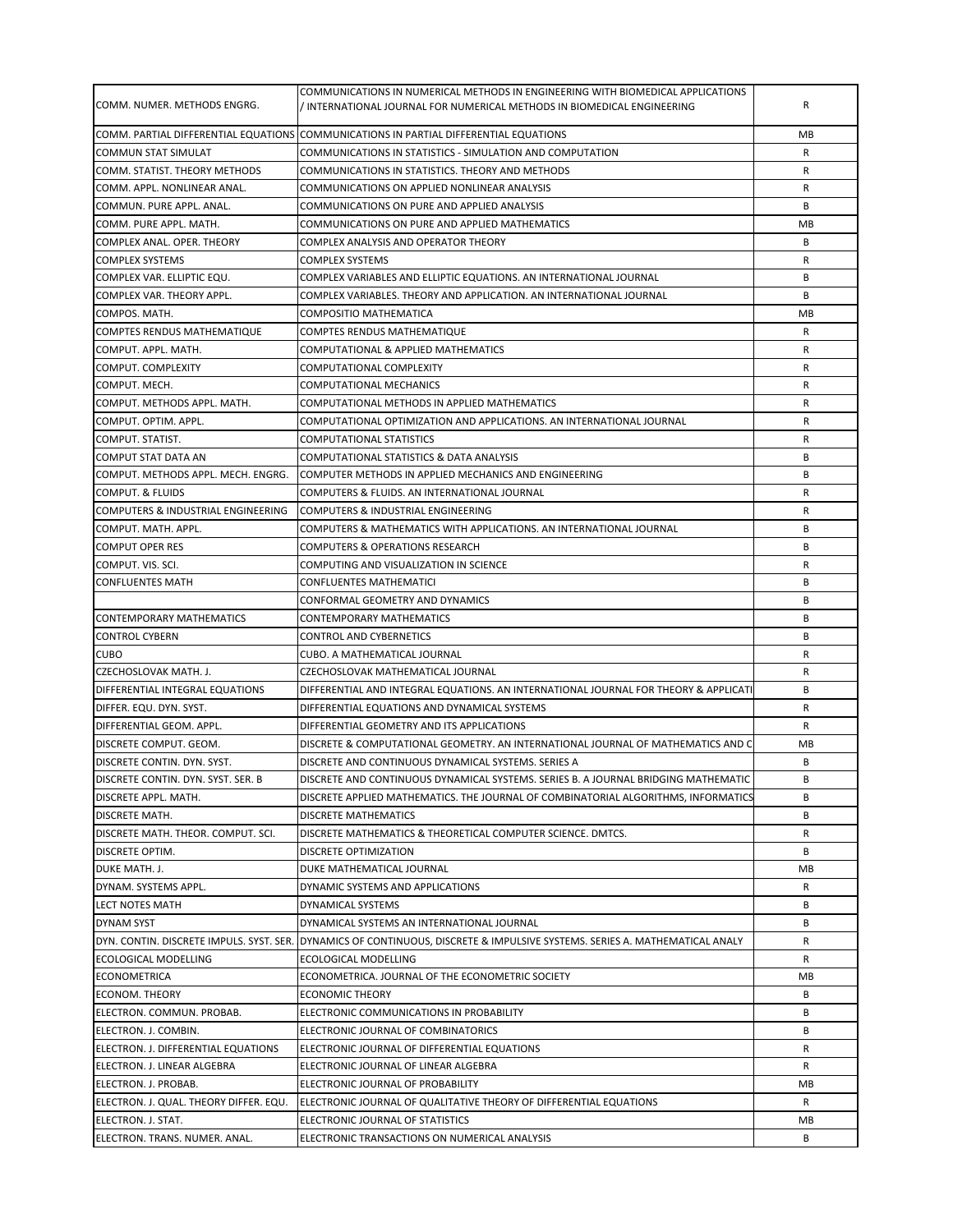| COMM. NUMER. METHODS ENGRG.                               | COMMUNICATIONS IN NUMERICAL METHODS IN ENGINEERING WITH BIOMEDICAL APPLICATIONS<br>/ INTERNATIONAL JOURNAL FOR NUMERICAL METHODS IN BIOMEDICAL ENGINEERING | R  |
|-----------------------------------------------------------|------------------------------------------------------------------------------------------------------------------------------------------------------------|----|
|                                                           | COMM. PARTIAL DIFFERENTIAL EQUATIONS COMMUNICATIONS IN PARTIAL DIFFERENTIAL EQUATIONS                                                                      | МB |
| <b>COMMUN STAT SIMULAT</b>                                | COMMUNICATIONS IN STATISTICS - SIMULATION AND COMPUTATION                                                                                                  | R  |
| COMM. STATIST. THEORY METHODS                             | COMMUNICATIONS IN STATISTICS. THEORY AND METHODS                                                                                                           | R  |
| COMM. APPL. NONLINEAR ANAL.                               | COMMUNICATIONS ON APPLIED NONLINEAR ANALYSIS                                                                                                               | R  |
| COMMUN. PURE APPL. ANAL.                                  | COMMUNICATIONS ON PURE AND APPLIED ANALYSIS                                                                                                                | B  |
| COMM. PURE APPL. MATH.                                    | COMMUNICATIONS ON PURE AND APPLIED MATHEMATICS                                                                                                             | МB |
| COMPLEX ANAL. OPER. THEORY                                | COMPLEX ANALYSIS AND OPERATOR THEORY                                                                                                                       | B  |
| <b>COMPLEX SYSTEMS</b>                                    | COMPLEX SYSTEMS                                                                                                                                            | R  |
| COMPLEX VAR. ELLIPTIC EQU.                                | COMPLEX VARIABLES AND ELLIPTIC EQUATIONS. AN INTERNATIONAL JOURNAL                                                                                         | B  |
| COMPLEX VAR. THEORY APPL.                                 | COMPLEX VARIABLES. THEORY AND APPLICATION. AN INTERNATIONAL JOURNAL                                                                                        | B  |
| COMPOS. MATH.                                             | COMPOSITIO MATHEMATICA                                                                                                                                     | МB |
| COMPTES RENDUS MATHEMATIQUE                               | <b>COMPTES RENDUS MATHEMATIQUE</b>                                                                                                                         | R  |
| COMPUT. APPL. MATH.                                       | COMPUTATIONAL & APPLIED MATHEMATICS                                                                                                                        | R  |
| COMPUT. COMPLEXITY                                        | COMPUTATIONAL COMPLEXITY                                                                                                                                   | R  |
| COMPUT. MECH.                                             | COMPUTATIONAL MECHANICS                                                                                                                                    | R  |
| COMPUT. METHODS APPL. MATH.                               | COMPUTATIONAL METHODS IN APPLIED MATHEMATICS                                                                                                               | R  |
| COMPUT. OPTIM. APPL.                                      | COMPUTATIONAL OPTIMIZATION AND APPLICATIONS. AN INTERNATIONAL JOURNAL                                                                                      | R  |
| COMPUT. STATIST.                                          | COMPUTATIONAL STATISTICS                                                                                                                                   | R  |
|                                                           | COMPUTATIONAL STATISTICS & DATA ANALYSIS                                                                                                                   | B  |
| COMPUT STAT DATA AN<br>COMPUT. METHODS APPL. MECH. ENGRG. | COMPUTER METHODS IN APPLIED MECHANICS AND ENGINEERING                                                                                                      | B  |
|                                                           |                                                                                                                                                            |    |
| <b>COMPUT. &amp; FLUIDS</b>                               | COMPUTERS & FLUIDS. AN INTERNATIONAL JOURNAL                                                                                                               | R  |
| COMPUTERS & INDUSTRIAL ENGINEERING                        | COMPUTERS & INDUSTRIAL ENGINEERING                                                                                                                         | R  |
| COMPUT. MATH. APPL.                                       | COMPUTERS & MATHEMATICS WITH APPLICATIONS. AN INTERNATIONAL JOURNAL                                                                                        | B  |
| <b>COMPUT OPER RES</b>                                    | COMPUTERS & OPERATIONS RESEARCH                                                                                                                            | B  |
| COMPUT. VIS. SCI.                                         | COMPUTING AND VISUALIZATION IN SCIENCE                                                                                                                     | R  |
| <b>CONFLUENTES MATH</b>                                   | <b>CONFLUENTES MATHEMATICI</b>                                                                                                                             | B  |
|                                                           | CONFORMAL GEOMETRY AND DYNAMICS                                                                                                                            | B  |
| <b>CONTEMPORARY MATHEMATICS</b>                           | CONTEMPORARY MATHEMATICS                                                                                                                                   | B  |
| <b>CONTROL CYBERN</b>                                     | CONTROL AND CYBERNETICS                                                                                                                                    | B  |
| <b>CUBO</b>                                               | CUBO. A MATHEMATICAL JOURNAL                                                                                                                               | R  |
| CZECHOSLOVAK MATH. J.                                     | CZECHOSLOVAK MATHEMATICAL JOURNAL                                                                                                                          | R  |
| DIFFERENTIAL INTEGRAL EQUATIONS                           | DIFFERENTIAL AND INTEGRAL EQUATIONS. AN INTERNATIONAL JOURNAL FOR THEORY & APPLICATI                                                                       | B  |
| DIFFER. EQU. DYN. SYST.                                   | DIFFERENTIAL EQUATIONS AND DYNAMICAL SYSTEMS                                                                                                               | R  |
| DIFFERENTIAL GEOM. APPL.                                  | DIFFERENTIAL GEOMETRY AND ITS APPLICATIONS                                                                                                                 | R  |
| DISCRETE COMPUT. GEOM.                                    | DISCRETE & COMPUTATIONAL GEOMETRY. AN INTERNATIONAL JOURNAL OF MATHEMATICS AND C                                                                           | МB |
| DISCRETE CONTIN. DYN. SYST.                               | DISCRETE AND CONTINUOUS DYNAMICAL SYSTEMS. SERIES A                                                                                                        | B  |
| DISCRETE CONTIN. DYN. SYST. SER. B                        | DISCRETE AND CONTINUOUS DYNAMICAL SYSTEMS. SERIES B. A JOURNAL BRIDGING MATHEMATIC                                                                         | В  |
| DISCRETE APPL. MATH.                                      | DISCRETE APPLIED MATHEMATICS. THE JOURNAL OF COMBINATORIAL ALGORITHMS, INFORMATICS                                                                         | B  |
| <b>DISCRETE MATH.</b>                                     | <b>DISCRETE MATHEMATICS</b>                                                                                                                                | В  |
| DISCRETE MATH. THEOR. COMPUT. SCI.                        | DISCRETE MATHEMATICS & THEORETICAL COMPUTER SCIENCE. DMTCS.                                                                                                | R  |
| <b>DISCRETE OPTIM.</b>                                    | DISCRETE OPTIMIZATION                                                                                                                                      | B  |
| DUKE MATH. J.                                             | DUKE MATHEMATICAL JOURNAL                                                                                                                                  | МB |
| DYNAM. SYSTEMS APPL.                                      | DYNAMIC SYSTEMS AND APPLICATIONS                                                                                                                           | R  |
| <b>LECT NOTES MATH</b>                                    | DYNAMICAL SYSTEMS                                                                                                                                          | B  |
| DYNAM SYST                                                | DYNAMICAL SYSTEMS AN INTERNATIONAL JOURNAL                                                                                                                 | В  |
|                                                           | DYN. CONTIN. DISCRETE IMPULS. SYST. SER. DYNAMICS OF CONTINUOUS, DISCRETE & IMPULSIVE SYSTEMS. SERIES A. MATHEMATICAL ANALY                                | R  |
| ECOLOGICAL MODELLING                                      | ECOLOGICAL MODELLING                                                                                                                                       | R  |
| <b>ECONOMETRICA</b>                                       | ECONOMETRICA. JOURNAL OF THE ECONOMETRIC SOCIETY                                                                                                           | МB |
| <b>ECONOM. THEORY</b>                                     | <b>ECONOMIC THEORY</b>                                                                                                                                     | B  |
| ELECTRON. COMMUN. PROBAB.                                 | ELECTRONIC COMMUNICATIONS IN PROBABILITY                                                                                                                   | B  |
| ELECTRON. J. COMBIN.                                      | ELECTRONIC JOURNAL OF COMBINATORICS                                                                                                                        | В  |
| ELECTRON. J. DIFFERENTIAL EQUATIONS                       | ELECTRONIC JOURNAL OF DIFFERENTIAL EQUATIONS                                                                                                               | R  |
| ELECTRON. J. LINEAR ALGEBRA                               | ELECTRONIC JOURNAL OF LINEAR ALGEBRA                                                                                                                       | R  |
| ELECTRON. J. PROBAB.                                      | ELECTRONIC JOURNAL OF PROBABILITY                                                                                                                          | MВ |
| ELECTRON. J. QUAL. THEORY DIFFER. EQU.                    | ELECTRONIC JOURNAL OF QUALITATIVE THEORY OF DIFFERENTIAL EQUATIONS                                                                                         | R  |
| ELECTRON. J. STAT.                                        | ELECTRONIC JOURNAL OF STATISTICS                                                                                                                           | MВ |
| ELECTRON. TRANS. NUMER. ANAL.                             | ELECTRONIC TRANSACTIONS ON NUMERICAL ANALYSIS                                                                                                              | В  |
|                                                           |                                                                                                                                                            |    |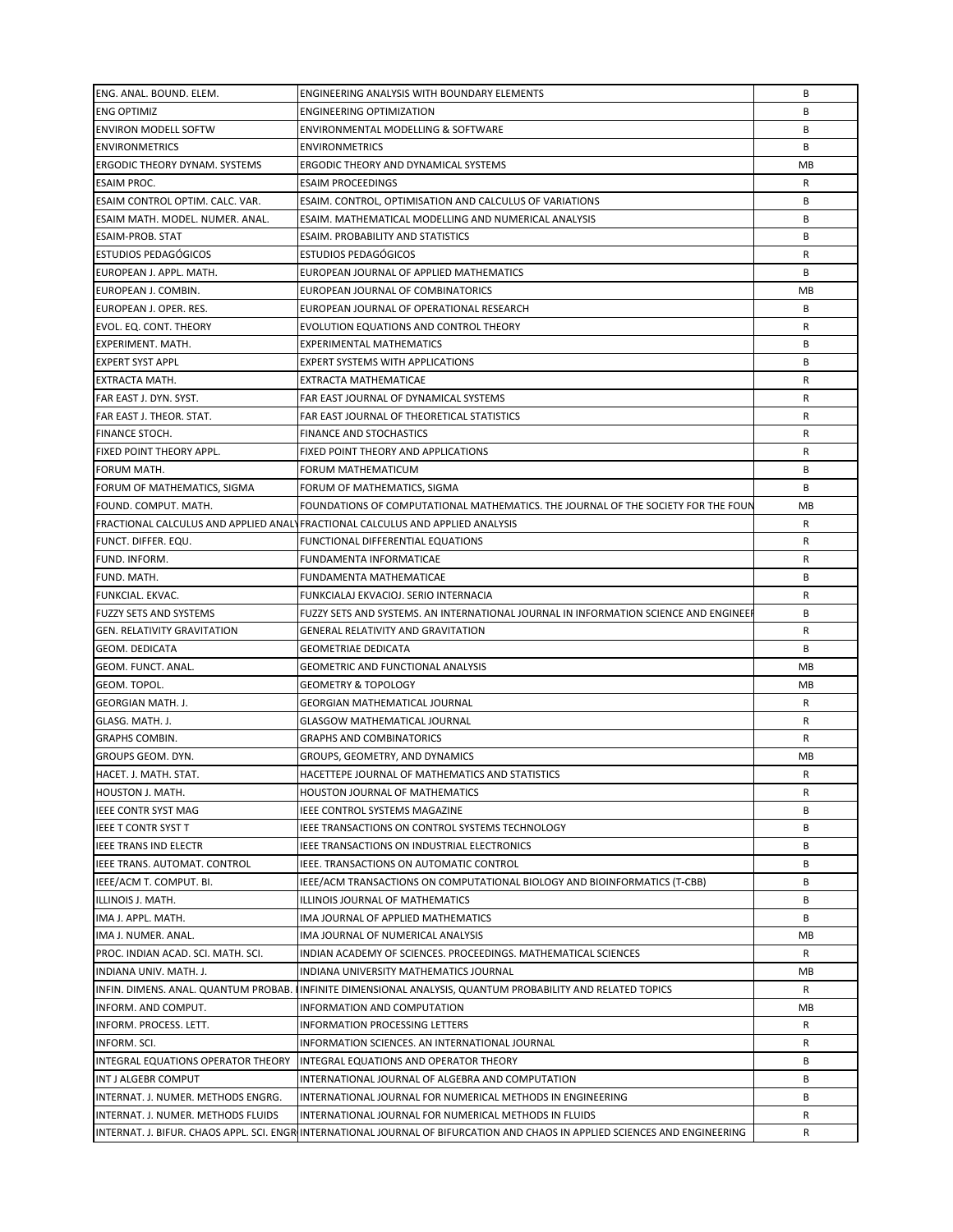| ENG. ANAL. BOUND. ELEM.                    | ENGINEERING ANALYSIS WITH BOUNDARY ELEMENTS                                                                                 | В  |
|--------------------------------------------|-----------------------------------------------------------------------------------------------------------------------------|----|
| <b>ENG OPTIMIZ</b>                         | <b>ENGINEERING OPTIMIZATION</b>                                                                                             | B  |
| <b>ENVIRON MODELL SOFTW</b>                | ENVIRONMENTAL MODELLING & SOFTWARE                                                                                          | B  |
| <b>ENVIRONMETRICS</b>                      | <b>ENVIRONMETRICS</b>                                                                                                       | B  |
| <b>ERGODIC THEORY DYNAM. SYSTEMS</b>       | ERGODIC THEORY AND DYNAMICAL SYSTEMS                                                                                        | МB |
| <b>ESAIM PROC.</b>                         | <b>ESAIM PROCEEDINGS</b>                                                                                                    | R  |
| ESAIM CONTROL OPTIM. CALC. VAR.            | ESAIM. CONTROL, OPTIMISATION AND CALCULUS OF VARIATIONS                                                                     | B  |
| ESAIM MATH. MODEL. NUMER. ANAL.            | ESAIM. MATHEMATICAL MODELLING AND NUMERICAL ANALYSIS                                                                        | В  |
| <b>ESAIM-PROB. STAT</b>                    | ESAIM. PROBABILITY AND STATISTICS                                                                                           | В  |
| <b>ESTUDIOS PEDAGÓGICOS</b>                | <b>ESTUDIOS PEDAGÓGICOS</b>                                                                                                 | R  |
| EUROPEAN J. APPL. MATH.                    |                                                                                                                             | B  |
|                                            | EUROPEAN JOURNAL OF APPLIED MATHEMATICS                                                                                     |    |
| EUROPEAN J. COMBIN.                        | EUROPEAN JOURNAL OF COMBINATORICS                                                                                           | МB |
| EUROPEAN J. OPER. RES.                     | EUROPEAN JOURNAL OF OPERATIONAL RESEARCH                                                                                    | B  |
| EVOL. EQ. CONT. THEORY                     | EVOLUTION EQUATIONS AND CONTROL THEORY                                                                                      | R  |
| EXPERIMENT. MATH.                          | EXPERIMENTAL MATHEMATICS                                                                                                    | B  |
| <b>EXPERT SYST APPL</b>                    | <b>EXPERT SYSTEMS WITH APPLICATIONS</b>                                                                                     | B  |
| EXTRACTA MATH.                             | EXTRACTA MATHEMATICAE                                                                                                       | R  |
| FAR EAST J. DYN. SYST.                     | FAR EAST JOURNAL OF DYNAMICAL SYSTEMS                                                                                       | R  |
| FAR EAST J. THEOR. STAT.                   | FAR EAST JOURNAL OF THEORETICAL STATISTICS                                                                                  | R  |
| FINANCE STOCH.                             | <b>FINANCE AND STOCHASTICS</b>                                                                                              | R  |
| FIXED POINT THEORY APPL.                   | FIXED POINT THEORY AND APPLICATIONS                                                                                         | R  |
| FORUM MATH.                                | FORUM MATHEMATICUM                                                                                                          | В  |
| FORUM OF MATHEMATICS, SIGMA                | FORUM OF MATHEMATICS, SIGMA                                                                                                 | B  |
| FOUND. COMPUT. MATH.                       | FOUNDATIONS OF COMPUTATIONAL MATHEMATICS. THE JOURNAL OF THE SOCIETY FOR THE FOUN                                           | МB |
|                                            | FRACTIONAL CALCULUS AND APPLIED ANALY FRACTIONAL CALCULUS AND APPLIED ANALYSIS                                              | R  |
| FUNCT. DIFFER. EQU.                        | FUNCTIONAL DIFFERENTIAL EQUATIONS                                                                                           | R  |
| FUND. INFORM.                              | FUNDAMENTA INFORMATICAE                                                                                                     | R  |
| FUND. MATH.                                | FUNDAMENTA MATHEMATICAE                                                                                                     | B  |
| FUNKCIAL. EKVAC.                           | FUNKCIALAJ EKVACIOJ. SERIO INTERNACIA                                                                                       | R  |
| <b>FUZZY SETS AND SYSTEMS</b>              | FUZZY SETS AND SYSTEMS. AN INTERNATIONAL JOURNAL IN INFORMATION SCIENCE AND ENGINEE                                         | B  |
| <b>GEN. RELATIVITY GRAVITATION</b>         | <b>GENERAL RELATIVITY AND GRAVITATION</b>                                                                                   | R  |
| <b>GEOM. DEDICATA</b>                      | <b>GEOMETRIAE DEDICATA</b>                                                                                                  | B  |
| GEOM. FUNCT. ANAL.                         | <b>GEOMETRIC AND FUNCTIONAL ANALYSIS</b>                                                                                    | MВ |
| GEOM. TOPOL.                               | <b>GEOMETRY &amp; TOPOLOGY</b>                                                                                              | MB |
| <b>GEORGIAN MATH. J.</b>                   | <b>GEORGIAN MATHEMATICAL JOURNAL</b>                                                                                        | R  |
| GLASG. MATH. J.                            | <b>GLASGOW MATHEMATICAL JOURNAL</b>                                                                                         | R  |
|                                            |                                                                                                                             | R  |
| <b>GRAPHS COMBIN.</b><br>GROUPS GEOM. DYN. | <b>GRAPHS AND COMBINATORICS</b>                                                                                             | МB |
| HACET. J. MATH. STAT.                      | GROUPS, GEOMETRY, AND DYNAMICS                                                                                              |    |
|                                            | HACETTEPE JOURNAL OF MATHEMATICS AND STATISTICS                                                                             | R  |
| HOUSTON J. MATH.                           | HOUSTON JOURNAL OF MATHEMATICS                                                                                              | R  |
| <b>IEEE CONTR SYST MAG</b>                 | <b>IEEE CONTROL SYSTEMS MAGAZINE</b>                                                                                        | B  |
| IEEE T CONTR SYST T                        | IEEE TRANSACTIONS ON CONTROL SYSTEMS TECHNOLOGY                                                                             | В  |
| IEEE TRANS IND ELECTR                      | IEEE TRANSACTIONS ON INDUSTRIAL ELECTRONICS                                                                                 | В  |
| IEEE TRANS. AUTOMAT. CONTROL               | IEEE. TRANSACTIONS ON AUTOMATIC CONTROL                                                                                     | В  |
| IEEE/ACM T. COMPUT. BI.                    | IEEE/ACM TRANSACTIONS ON COMPUTATIONAL BIOLOGY AND BIOINFORMATICS (T-CBB)                                                   | В  |
| ILLINOIS J. MATH.                          | ILLINOIS JOURNAL OF MATHEMATICS                                                                                             | В  |
| IMA J. APPL. MATH.                         | IMA JOURNAL OF APPLIED MATHEMATICS                                                                                          | B  |
| IMA J. NUMER. ANAL.                        | IMA JOURNAL OF NUMERICAL ANALYSIS                                                                                           | МB |
| PROC. INDIAN ACAD. SCI. MATH. SCI.         | INDIAN ACADEMY OF SCIENCES. PROCEEDINGS. MATHEMATICAL SCIENCES                                                              | R  |
| INDIANA UNIV. MATH. J.                     | INDIANA UNIVERSITY MATHEMATICS JOURNAL                                                                                      | MВ |
|                                            | INFIN. DIMENS. ANAL. QUANTUM PROBAB. IINFINITE DIMENSIONAL ANALYSIS, QUANTUM PROBABILITY AND RELATED TOPICS                 | R  |
| INFORM. AND COMPUT.                        | INFORMATION AND COMPUTATION                                                                                                 | МB |
| INFORM. PROCESS. LETT.                     | INFORMATION PROCESSING LETTERS                                                                                              | R  |
| INFORM. SCI.                               | INFORMATION SCIENCES. AN INTERNATIONAL JOURNAL                                                                              | R  |
| INTEGRAL EQUATIONS OPERATOR THEORY         | INTEGRAL EQUATIONS AND OPERATOR THEORY                                                                                      | B  |
| INT J ALGEBR COMPUT                        | INTERNATIONAL JOURNAL OF ALGEBRA AND COMPUTATION                                                                            | B  |
| INTERNAT. J. NUMER. METHODS ENGRG.         | INTERNATIONAL JOURNAL FOR NUMERICAL METHODS IN ENGINEERING                                                                  | В  |
| INTERNAT. J. NUMER. METHODS FLUIDS         | INTERNATIONAL JOURNAL FOR NUMERICAL METHODS IN FLUIDS                                                                       | R  |
|                                            | INTERNAT. J. BIFUR. CHAOS APPL. SCI. ENGRINTERNATIONAL JOURNAL OF BIFURCATION AND CHAOS IN APPLIED SCIENCES AND ENGINEERING | R  |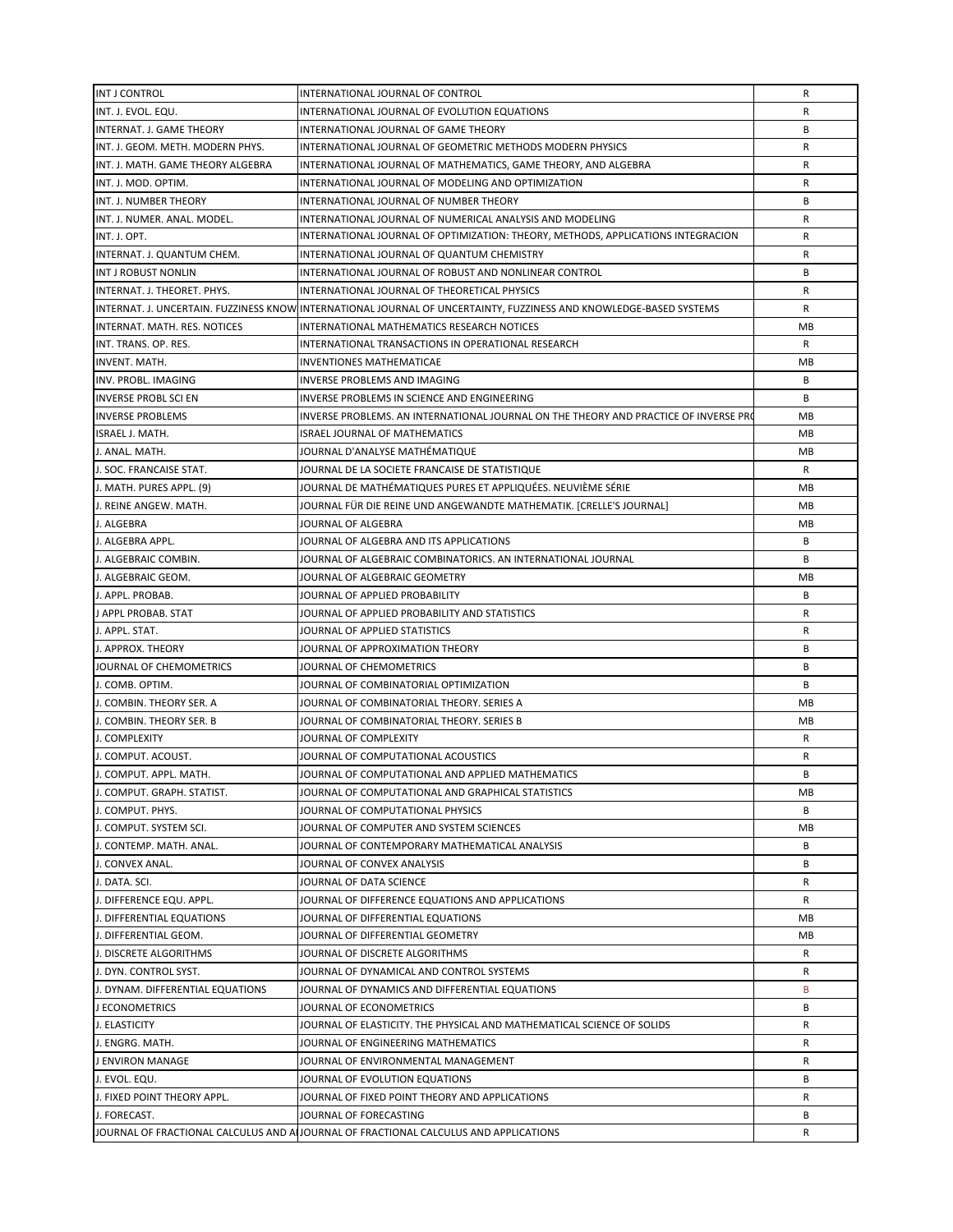| INT J CONTROL                     | INTERNATIONAL JOURNAL OF CONTROL                                                                                   | R  |
|-----------------------------------|--------------------------------------------------------------------------------------------------------------------|----|
| INT. J. EVOL. EQU.                | INTERNATIONAL JOURNAL OF EVOLUTION EQUATIONS                                                                       | R  |
| INTERNAT. J. GAME THEORY          | INTERNATIONAL JOURNAL OF GAME THEORY                                                                               | B  |
| INT. J. GEOM. METH. MODERN PHYS.  | INTERNATIONAL JOURNAL OF GEOMETRIC METHODS MODERN PHYSICS                                                          | R  |
| INT. J. MATH. GAME THEORY ALGEBRA | INTERNATIONAL JOURNAL OF MATHEMATICS, GAME THEORY, AND ALGEBRA                                                     | R  |
| INT. J. MOD. OPTIM.               | INTERNATIONAL JOURNAL OF MODELING AND OPTIMIZATION                                                                 | R  |
| INT. J. NUMBER THEORY             | INTERNATIONAL JOURNAL OF NUMBER THEORY                                                                             | B  |
| INT. J. NUMER. ANAL. MODEL.       | INTERNATIONAL JOURNAL OF NUMERICAL ANALYSIS AND MODELING                                                           | R  |
| INT. J. OPT.                      | INTERNATIONAL JOURNAL OF OPTIMIZATION: THEORY, METHODS, APPLICATIONS INTEGRACION                                   | R  |
| INTERNAT. J. QUANTUM CHEM.        | INTERNATIONAL JOURNAL OF QUANTUM CHEMISTRY                                                                         | R  |
| INT J ROBUST NONLIN               | INTERNATIONAL JOURNAL OF ROBUST AND NONLINEAR CONTROL                                                              | B  |
| INTERNAT. J. THEORET. PHYS.       | INTERNATIONAL JOURNAL OF THEORETICAL PHYSICS                                                                       | R  |
|                                   | INTERNAT. J. UNCERTAIN. FUZZINESS KNOW INTERNATIONAL JOURNAL OF UNCERTAINTY, FUZZINESS AND KNOWLEDGE-BASED SYSTEMS | R  |
| INTERNAT. MATH. RES. NOTICES      | INTERNATIONAL MATHEMATICS RESEARCH NOTICES                                                                         | MB |
| INT. TRANS. OP. RES.              | INTERNATIONAL TRANSACTIONS IN OPERATIONAL RESEARCH                                                                 | R  |
| <b>INVENT. MATH.</b>              | INVENTIONES MATHEMATICAE                                                                                           | МB |
| INV. PROBL. IMAGING               | INVERSE PROBLEMS AND IMAGING                                                                                       | В  |
| <b>INVERSE PROBL SCI EN</b>       | INVERSE PROBLEMS IN SCIENCE AND ENGINEERING                                                                        | B  |
| <b>INVERSE PROBLEMS</b>           | INVERSE PROBLEMS. AN INTERNATIONAL JOURNAL ON THE THEORY AND PRACTICE OF INVERSE PRO                               | МB |
| <b>ISRAEL J. MATH.</b>            | <b>ISRAEL JOURNAL OF MATHEMATICS</b>                                                                               | MВ |
|                                   |                                                                                                                    |    |
| J. ANAL. MATH.                    | JOURNAL D'ANALYSE MATHÉMATIQUE                                                                                     | MВ |
| J. SOC. FRANCAISE STAT.           | JOURNAL DE LA SOCIETE FRANCAISE DE STATISTIQUE                                                                     | R  |
| J. MATH. PURES APPL. (9)          | JOURNAL DE MATHÉMATIQUES PURES ET APPLIQUÉES. NEUVIÈME SÉRIE                                                       | MB |
| J. REINE ANGEW. MATH.             | JOURNAL FÜR DIE REINE UND ANGEWANDTE MATHEMATIK. [CRELLE'S JOURNAL]                                                | МB |
| J. ALGEBRA                        | JOURNAL OF ALGEBRA                                                                                                 | МB |
| J. ALGEBRA APPL.                  | JOURNAL OF ALGEBRA AND ITS APPLICATIONS                                                                            | B  |
| J. ALGEBRAIC COMBIN.              | JOURNAL OF ALGEBRAIC COMBINATORICS. AN INTERNATIONAL JOURNAL                                                       | B  |
| J. ALGEBRAIC GEOM.                | JOURNAL OF ALGEBRAIC GEOMETRY                                                                                      | МB |
| J. APPL. PROBAB.                  | JOURNAL OF APPLIED PROBABILITY                                                                                     | B  |
| J APPL PROBAB. STAT               | JOURNAL OF APPLIED PROBABILITY AND STATISTICS                                                                      | R  |
| J. APPL. STAT.                    | JOURNAL OF APPLIED STATISTICS                                                                                      | R  |
| J. APPROX. THEORY                 | JOURNAL OF APPROXIMATION THEORY                                                                                    | B  |
| JOURNAL OF CHEMOMETRICS           | JOURNAL OF CHEMOMETRICS                                                                                            | B  |
| J. COMB. OPTIM.                   | JOURNAL OF COMBINATORIAL OPTIMIZATION                                                                              | B  |
| J. COMBIN. THEORY SER. A          | JOURNAL OF COMBINATORIAL THEORY. SERIES A                                                                          | МB |
| J. COMBIN. THEORY SER. B          | JOURNAL OF COMBINATORIAL THEORY. SERIES B                                                                          | MВ |
| J. COMPLEXITY                     | JOURNAL OF COMPLEXITY                                                                                              | R  |
| J. COMPUT. ACOUST.                | JOURNAL OF COMPUTATIONAL ACOUSTICS                                                                                 | R  |
| J. COMPUT. APPL. MATH.            | JOURNAL OF COMPUTATIONAL AND APPLIED MATHEMATICS                                                                   | B  |
| J. COMPUT. GRAPH. STATIST.        | JOURNAL OF COMPUTATIONAL AND GRAPHICAL STATISTICS                                                                  | MВ |
| J. COMPUT. PHYS.                  | JOURNAL OF COMPUTATIONAL PHYSICS                                                                                   | В  |
| J. COMPUT. SYSTEM SCI.            | JOURNAL OF COMPUTER AND SYSTEM SCIENCES                                                                            | МB |
| J. CONTEMP. MATH. ANAL.           | JOURNAL OF CONTEMPORARY MATHEMATICAL ANALYSIS                                                                      | В  |
| J. CONVEX ANAL.                   | JOURNAL OF CONVEX ANALYSIS                                                                                         | В  |
| J. DATA. SCI.                     | JOURNAL OF DATA SCIENCE                                                                                            | R  |
| J. DIFFERENCE EQU. APPL.          | JOURNAL OF DIFFERENCE EQUATIONS AND APPLICATIONS                                                                   | R  |
| J. DIFFERENTIAL EQUATIONS         | JOURNAL OF DIFFERENTIAL EQUATIONS                                                                                  | МB |
| J. DIFFERENTIAL GEOM.             | JOURNAL OF DIFFERENTIAL GEOMETRY                                                                                   | МB |
| J. DISCRETE ALGORITHMS            | JOURNAL OF DISCRETE ALGORITHMS                                                                                     | R  |
| J. DYN. CONTROL SYST.             | JOURNAL OF DYNAMICAL AND CONTROL SYSTEMS                                                                           | R  |
| J. DYNAM. DIFFERENTIAL EQUATIONS  | JOURNAL OF DYNAMICS AND DIFFERENTIAL EQUATIONS                                                                     | B  |
| J ECONOMETRICS                    | JOURNAL OF ECONOMETRICS                                                                                            | В  |
| J. ELASTICITY                     | JOURNAL OF ELASTICITY. THE PHYSICAL AND MATHEMATICAL SCIENCE OF SOLIDS                                             | R  |
| J. ENGRG. MATH.                   | JOURNAL OF ENGINEERING MATHEMATICS                                                                                 | R  |
| J ENVIRON MANAGE                  | JOURNAL OF ENVIRONMENTAL MANAGEMENT                                                                                | R  |
| J. EVOL. EQU.                     | JOURNAL OF EVOLUTION EQUATIONS                                                                                     | В  |
| J. FIXED POINT THEORY APPL.       | JOURNAL OF FIXED POINT THEORY AND APPLICATIONS                                                                     | R  |
| J. FORECAST.                      | JOURNAL OF FORECASTING                                                                                             | В  |
|                                   | JOURNAL OF FRACTIONAL CALCULUS AND ALJOURNAL OF FRACTIONAL CALCULUS AND APPLICATIONS                               | R  |
|                                   |                                                                                                                    |    |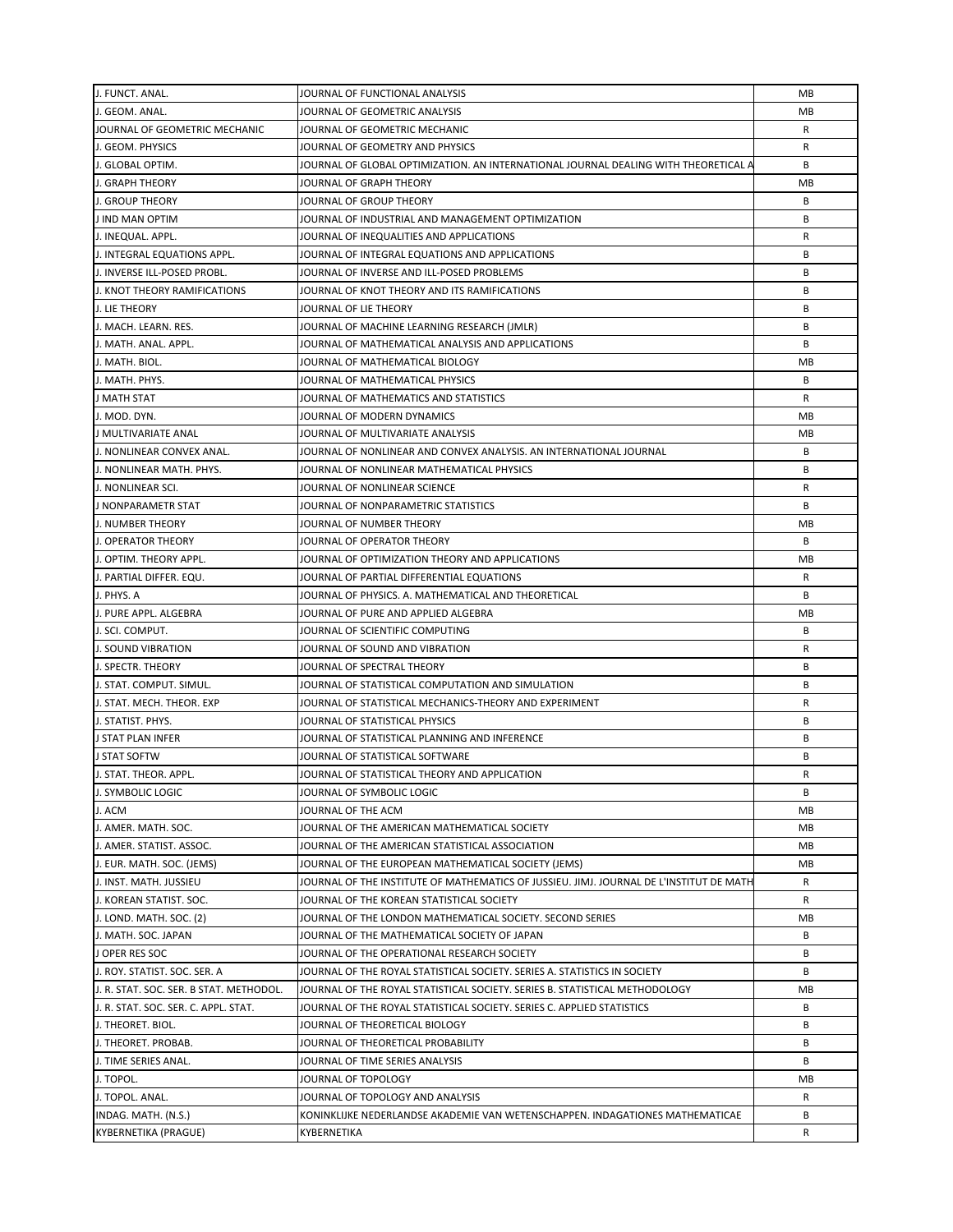| J. FUNCT. ANAL.                         | JOURNAL OF FUNCTIONAL ANALYSIS                                                          | MB |
|-----------------------------------------|-----------------------------------------------------------------------------------------|----|
| J. GEOM. ANAL.                          | JOURNAL OF GEOMETRIC ANALYSIS                                                           | MВ |
| JOURNAL OF GEOMETRIC MECHANIC           | JOURNAL OF GEOMETRIC MECHANIC                                                           | R  |
| J. GEOM. PHYSICS                        | JOURNAL OF GEOMETRY AND PHYSICS                                                         | R  |
| J. GLOBAL OPTIM.                        | JOURNAL OF GLOBAL OPTIMIZATION. AN INTERNATIONAL JOURNAL DEALING WITH THEORETICAL A     | B  |
| J. GRAPH THEORY                         | JOURNAL OF GRAPH THEORY                                                                 | МB |
| <b>J. GROUP THEORY</b>                  | JOURNAL OF GROUP THEORY                                                                 | B  |
| J IND MAN OPTIM                         | JOURNAL OF INDUSTRIAL AND MANAGEMENT OPTIMIZATION                                       | B  |
| J. INEQUAL. APPL.                       | JOURNAL OF INEQUALITIES AND APPLICATIONS                                                | R  |
| J. INTEGRAL EQUATIONS APPL.             | JOURNAL OF INTEGRAL EQUATIONS AND APPLICATIONS                                          | B  |
| J. INVERSE ILL-POSED PROBL.             | JOURNAL OF INVERSE AND ILL-POSED PROBLEMS                                               | B  |
| J. KNOT THEORY RAMIFICATIONS            | JOURNAL OF KNOT THEORY AND ITS RAMIFICATIONS                                            | В  |
| J. LIE THEORY                           | JOURNAL OF LIE THEORY                                                                   | B  |
| J. MACH. LEARN. RES.                    | JOURNAL OF MACHINE LEARNING RESEARCH (JMLR)                                             | B  |
| J. MATH. ANAL. APPL.                    | JOURNAL OF MATHEMATICAL ANALYSIS AND APPLICATIONS                                       | B  |
| J. MATH. BIOL.                          | JOURNAL OF MATHEMATICAL BIOLOGY                                                         | МB |
| J. MATH. PHYS.                          | JOURNAL OF MATHEMATICAL PHYSICS                                                         | В  |
|                                         |                                                                                         | R  |
| J MATH STAT                             | JOURNAL OF MATHEMATICS AND STATISTICS                                                   |    |
| J. MOD. DYN.                            | JOURNAL OF MODERN DYNAMICS                                                              | МB |
| J MULTIVARIATE ANAL                     | JOURNAL OF MULTIVARIATE ANALYSIS                                                        | MВ |
| J. NONLINEAR CONVEX ANAL.               | JOURNAL OF NONLINEAR AND CONVEX ANALYSIS. AN INTERNATIONAL JOURNAL                      | В  |
| J. NONLINEAR MATH. PHYS.                | JOURNAL OF NONLINEAR MATHEMATICAL PHYSICS                                               | В  |
| J. NONLINEAR SCI.                       | JOURNAL OF NONLINEAR SCIENCE                                                            | R  |
| J NONPARAMETR STAT                      | JOURNAL OF NONPARAMETRIC STATISTICS                                                     | В  |
| J. NUMBER THEORY                        | JOURNAL OF NUMBER THEORY                                                                | МB |
| J. OPERATOR THEORY                      | JOURNAL OF OPERATOR THEORY                                                              | B  |
| J. OPTIM. THEORY APPL.                  | JOURNAL OF OPTIMIZATION THEORY AND APPLICATIONS                                         | МB |
| J. PARTIAL DIFFER. EQU.                 | JOURNAL OF PARTIAL DIFFERENTIAL EQUATIONS                                               | R  |
| J. PHYS. A                              | JOURNAL OF PHYSICS. A. MATHEMATICAL AND THEORETICAL                                     | B  |
| J. PURE APPL. ALGEBRA                   | JOURNAL OF PURE AND APPLIED ALGEBRA                                                     | МB |
| J. SCI. COMPUT.                         | JOURNAL OF SCIENTIFIC COMPUTING                                                         | B  |
| J. SOUND VIBRATION                      | JOURNAL OF SOUND AND VIBRATION                                                          | R  |
| <b>J. SPECTR. THEORY</b>                | JOURNAL OF SPECTRAL THEORY                                                              | B  |
| J. STAT. COMPUT. SIMUL.                 | JOURNAL OF STATISTICAL COMPUTATION AND SIMULATION                                       | B  |
| J. STAT. MECH. THEOR. EXP               | JOURNAL OF STATISTICAL MECHANICS-THEORY AND EXPERIMENT                                  | R  |
| J. STATIST. PHYS.                       | JOURNAL OF STATISTICAL PHYSICS                                                          | B  |
| <b>J STAT PLAN INFER</b>                | JOURNAL OF STATISTICAL PLANNING AND INFERENCE                                           | В  |
| J STAT SOFTW                            | JOURNAL OF STATISTICAL SOFTWARE                                                         | B  |
| J. STAT. THEOR. APPL.                   | JOURNAL OF STATISTICAL THEORY AND APPLICATION                                           | R  |
| J. SYMBOLIC LOGIC                       | JOURNAL OF SYMBOLIC LOGIC                                                               | В  |
| J. ACM                                  | JOURNAL OF THE ACM                                                                      | MВ |
| J. AMER. MATH. SOC.                     | JOURNAL OF THE AMERICAN MATHEMATICAL SOCIETY                                            | МB |
| J. AMER. STATIST. ASSOC.                | JOURNAL OF THE AMERICAN STATISTICAL ASSOCIATION                                         | МB |
| J. EUR. MATH. SOC. (JEMS)               | JOURNAL OF THE EUROPEAN MATHEMATICAL SOCIETY (JEMS)                                     | МB |
| J. INST. MATH. JUSSIEU                  | JOURNAL OF THE INSTITUTE OF MATHEMATICS OF JUSSIEU. JIMJ. JOURNAL DE L'INSTITUT DE MATH | R  |
|                                         |                                                                                         |    |
| J. KOREAN STATIST. SOC.                 | JOURNAL OF THE KOREAN STATISTICAL SOCIETY                                               | R  |
| J. LOND. MATH. SOC. (2)                 | JOURNAL OF THE LONDON MATHEMATICAL SOCIETY. SECOND SERIES                               | МB |
| J. MATH. SOC. JAPAN                     | JOURNAL OF THE MATHEMATICAL SOCIETY OF JAPAN                                            | В  |
| J OPER RES SOC                          | JOURNAL OF THE OPERATIONAL RESEARCH SOCIETY                                             | B  |
| J. ROY. STATIST. SOC. SER. A            | JOURNAL OF THE ROYAL STATISTICAL SOCIETY. SERIES A. STATISTICS IN SOCIETY               | B  |
| J. R. STAT. SOC. SER. B STAT. METHODOL. | JOURNAL OF THE ROYAL STATISTICAL SOCIETY. SERIES B. STATISTICAL METHODOLOGY             | MВ |
| J. R. STAT. SOC. SER. C. APPL. STAT.    | JOURNAL OF THE ROYAL STATISTICAL SOCIETY. SERIES C. APPLIED STATISTICS                  | В  |
| J. THEORET. BIOL.                       | JOURNAL OF THEORETICAL BIOLOGY                                                          | В  |
| J. THEORET. PROBAB.                     | JOURNAL OF THEORETICAL PROBABILITY                                                      | B  |
| J. TIME SERIES ANAL.                    | JOURNAL OF TIME SERIES ANALYSIS                                                         | B  |
| J. TOPOL.                               | JOURNAL OF TOPOLOGY                                                                     | МB |
| J. TOPOL. ANAL.                         | JOURNAL OF TOPOLOGY AND ANALYSIS                                                        | R  |
| INDAG. MATH. (N.S.)                     | KONINKLIJKE NEDERLANDSE AKADEMIE VAN WETENSCHAPPEN. INDAGATIONES MATHEMATICAE           | B  |
| <b>KYBERNETIKA (PRAGUE)</b>             | KYBERNETIKA                                                                             | R  |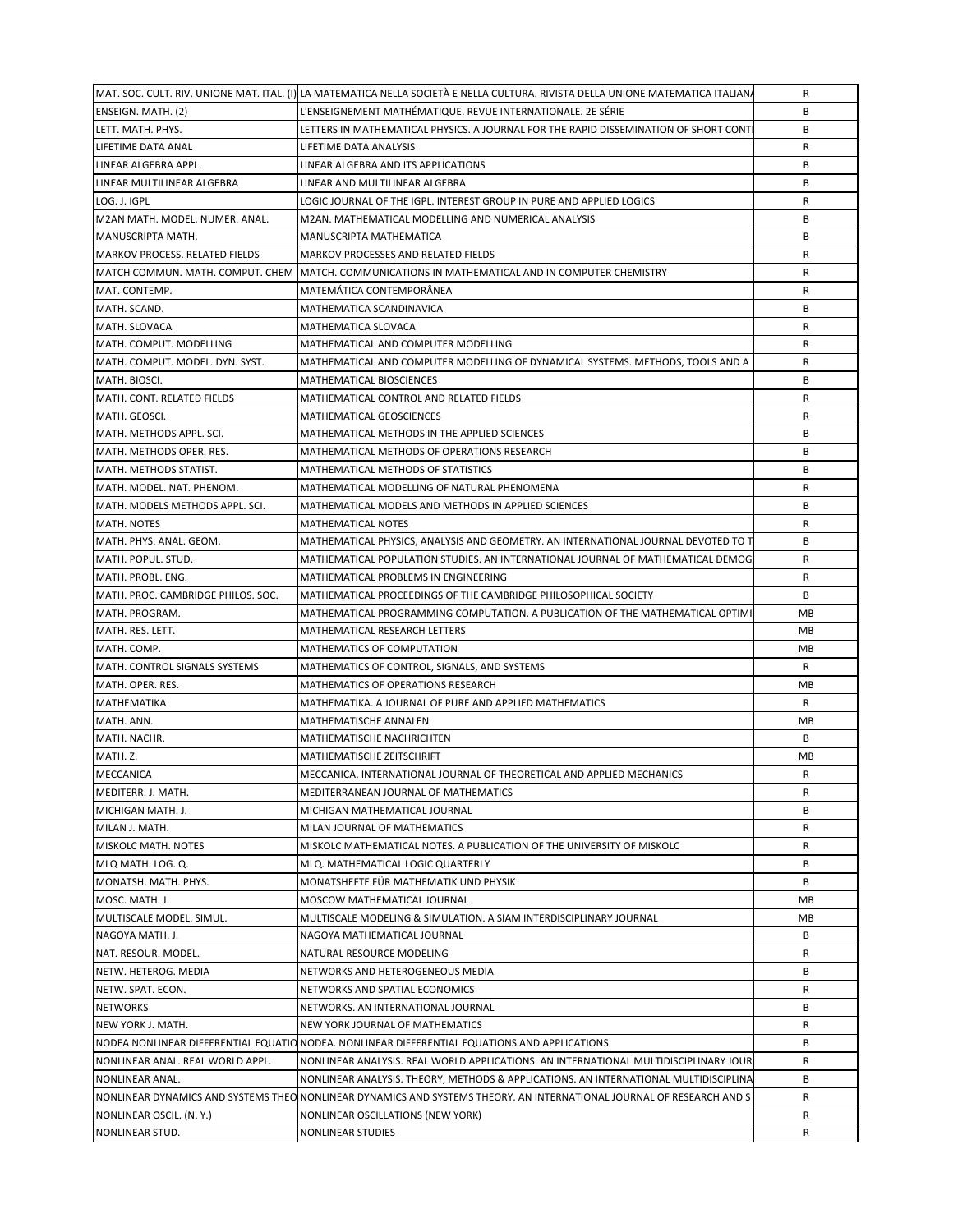|                                       | MAT. SOC. CULT. RIV. UNIONE MAT. ITAL. (I) LA MATEMATICA NELLA SOCIETÀ E NELLA CULTURA. RIVISTA DELLA UNIONE MATEMATICA ITALIANA | R  |
|---------------------------------------|----------------------------------------------------------------------------------------------------------------------------------|----|
| ENSEIGN. MATH. (2)                    | L'ENSEIGNEMENT MATHÉMATIQUE. REVUE INTERNATIONALE. 2E SÉRIE                                                                      | B  |
| LETT. MATH. PHYS.                     | LETTERS IN MATHEMATICAL PHYSICS. A JOURNAL FOR THE RAPID DISSEMINATION OF SHORT CONT                                             | B  |
| LIFETIME DATA ANAL                    | LIFETIME DATA ANALYSIS                                                                                                           | R  |
| LINEAR ALGEBRA APPL.                  | LINEAR ALGEBRA AND ITS APPLICATIONS                                                                                              | B  |
| LINEAR MULTILINEAR ALGEBRA            | LINEAR AND MULTILINEAR ALGEBRA                                                                                                   | B  |
| LOG. J. IGPL                          | LOGIC JOURNAL OF THE IGPL. INTEREST GROUP IN PURE AND APPLIED LOGICS                                                             | R  |
| M2AN MATH. MODEL. NUMER. ANAL.        | M2AN. MATHEMATICAL MODELLING AND NUMERICAL ANALYSIS                                                                              | B  |
| MANUSCRIPTA MATH.                     | MANUSCRIPTA MATHEMATICA                                                                                                          | B  |
| <b>MARKOV PROCESS. RELATED FIELDS</b> | MARKOV PROCESSES AND RELATED FIELDS                                                                                              | R  |
|                                       |                                                                                                                                  | R  |
|                                       | MATCH COMMUN. MATH. COMPUT. CHEM  MATCH. COMMUNICATIONS IN MATHEMATICAL AND IN COMPUTER CHEMISTRY                                |    |
| MAT. CONTEMP.                         | MATEMÁTICA CONTEMPORÂNEA                                                                                                         | R  |
| MATH. SCAND.                          | MATHEMATICA SCANDINAVICA                                                                                                         | B  |
| MATH. SLOVACA                         | MATHEMATICA SLOVACA                                                                                                              | R  |
| MATH. COMPUT. MODELLING               | MATHEMATICAL AND COMPUTER MODELLING                                                                                              | R  |
| MATH. COMPUT. MODEL. DYN. SYST.       | MATHEMATICAL AND COMPUTER MODELLING OF DYNAMICAL SYSTEMS. METHODS, TOOLS AND A                                                   | R  |
| MATH. BIOSCI.                         | MATHEMATICAL BIOSCIENCES                                                                                                         | B  |
| MATH. CONT. RELATED FIELDS            | MATHEMATICAL CONTROL AND RELATED FIELDS                                                                                          | R  |
| MATH. GEOSCI.                         | MATHEMATICAL GEOSCIENCES                                                                                                         | R  |
| MATH. METHODS APPL. SCI.              | MATHEMATICAL METHODS IN THE APPLIED SCIENCES                                                                                     | B  |
| MATH. METHODS OPER. RES.              | MATHEMATICAL METHODS OF OPERATIONS RESEARCH                                                                                      | B  |
| MATH. METHODS STATIST.                | MATHEMATICAL METHODS OF STATISTICS                                                                                               | B  |
| MATH. MODEL. NAT. PHENOM.             | MATHEMATICAL MODELLING OF NATURAL PHENOMENA                                                                                      | R  |
| MATH. MODELS METHODS APPL. SCI.       | MATHEMATICAL MODELS AND METHODS IN APPLIED SCIENCES                                                                              | B  |
| MATH. NOTES                           | <b>MATHEMATICAL NOTES</b>                                                                                                        | R  |
| MATH. PHYS. ANAL. GEOM.               | MATHEMATICAL PHYSICS, ANALYSIS AND GEOMETRY. AN INTERNATIONAL JOURNAL DEVOTED TO T                                               | B  |
| MATH. POPUL. STUD.                    | MATHEMATICAL POPULATION STUDIES. AN INTERNATIONAL JOURNAL OF MATHEMATICAL DEMOGI                                                 | R  |
| MATH. PROBL. ENG.                     | MATHEMATICAL PROBLEMS IN ENGINEERING                                                                                             | R  |
| MATH. PROC. CAMBRIDGE PHILOS. SOC.    | MATHEMATICAL PROCEEDINGS OF THE CAMBRIDGE PHILOSOPHICAL SOCIETY                                                                  | В  |
| MATH. PROGRAM.                        | MATHEMATICAL PROGRAMMING COMPUTATION. A PUBLICATION OF THE MATHEMATICAL OPTIMI.                                                  | MB |
| MATH. RES. LETT.                      | MATHEMATICAL RESEARCH LETTERS                                                                                                    | MB |
|                                       |                                                                                                                                  |    |
| MATH. COMP.                           | MATHEMATICS OF COMPUTATION                                                                                                       | MB |
| MATH. CONTROL SIGNALS SYSTEMS         | MATHEMATICS OF CONTROL, SIGNALS, AND SYSTEMS                                                                                     | R  |
| MATH. OPER. RES.                      | MATHEMATICS OF OPERATIONS RESEARCH                                                                                               | MB |
| MATHEMATIKA                           | MATHEMATIKA. A JOURNAL OF PURE AND APPLIED MATHEMATICS                                                                           | R  |
| MATH. ANN.                            | MATHEMATISCHE ANNALEN                                                                                                            | MB |
| MATH. NACHR.                          | MATHEMATISCHE NACHRICHTEN                                                                                                        | B  |
| MATH. Z.                              | MATHEMATISCHE ZEITSCHRIFT                                                                                                        | MB |
| <b>MECCANICA</b>                      | MECCANICA. INTERNATIONAL JOURNAL OF THEORETICAL AND APPLIED MECHANICS                                                            | R  |
| MEDITERR. J. MATH.                    | MEDITERRANEAN JOURNAL OF MATHEMATICS                                                                                             | R  |
| MICHIGAN MATH. J.                     | MICHIGAN MATHEMATICAL JOURNAL                                                                                                    | B  |
| MILAN J. MATH.                        | MILAN JOURNAL OF MATHEMATICS                                                                                                     | R  |
| MISKOLC MATH. NOTES                   | MISKOLC MATHEMATICAL NOTES. A PUBLICATION OF THE UNIVERSITY OF MISKOLC                                                           | R  |
| MLQ MATH. LOG. Q.                     | MLQ. MATHEMATICAL LOGIC QUARTERLY                                                                                                | B  |
| MONATSH. MATH. PHYS.                  | MONATSHEFTE FÜR MATHEMATIK UND PHYSIK                                                                                            | B  |
| MOSC. MATH. J.                        | MOSCOW MATHEMATICAL JOURNAL                                                                                                      | MВ |
| MULTISCALE MODEL. SIMUL.              | MULTISCALE MODELING & SIMULATION. A SIAM INTERDISCIPLINARY JOURNAL                                                               | MB |
| NAGOYA MATH. J.                       | NAGOYA MATHEMATICAL JOURNAL                                                                                                      | В  |
| NAT. RESOUR. MODEL.                   | NATURAL RESOURCE MODELING                                                                                                        | R  |
| NETW. HETEROG. MEDIA                  | NETWORKS AND HETEROGENEOUS MEDIA                                                                                                 | B  |
| NETW. SPAT. ECON.                     | NETWORKS AND SPATIAL ECONOMICS                                                                                                   | R  |
| <b>NETWORKS</b>                       | NETWORKS. AN INTERNATIONAL JOURNAL                                                                                               | B  |
| NEW YORK J. MATH.                     | NEW YORK JOURNAL OF MATHEMATICS                                                                                                  | R  |
|                                       | NODEA NONLINEAR DIFFERENTIAL EQUATIO NODEA. NONLINEAR DIFFERENTIAL EQUATIONS AND APPLICATIONS                                    | В  |
| NONLINEAR ANAL. REAL WORLD APPL.      | NONLINEAR ANALYSIS. REAL WORLD APPLICATIONS. AN INTERNATIONAL MULTIDISCIPLINARY JOUR                                             | R  |
| NONLINEAR ANAL.                       | NONLINEAR ANALYSIS. THEORY, METHODS & APPLICATIONS. AN INTERNATIONAL MULTIDISCIPLINA                                             | В  |
|                                       | NONLINEAR DYNAMICS AND SYSTEMS THEO NONLINEAR DYNAMICS AND SYSTEMS THEORY. AN INTERNATIONAL JOURNAL OF RESEARCH AND S            | R  |
|                                       |                                                                                                                                  |    |
| NONLINEAR OSCIL. (N.Y.)               | NONLINEAR OSCILLATIONS (NEW YORK)                                                                                                | R  |
| NONLINEAR STUD.                       | NONLINEAR STUDIES                                                                                                                | R  |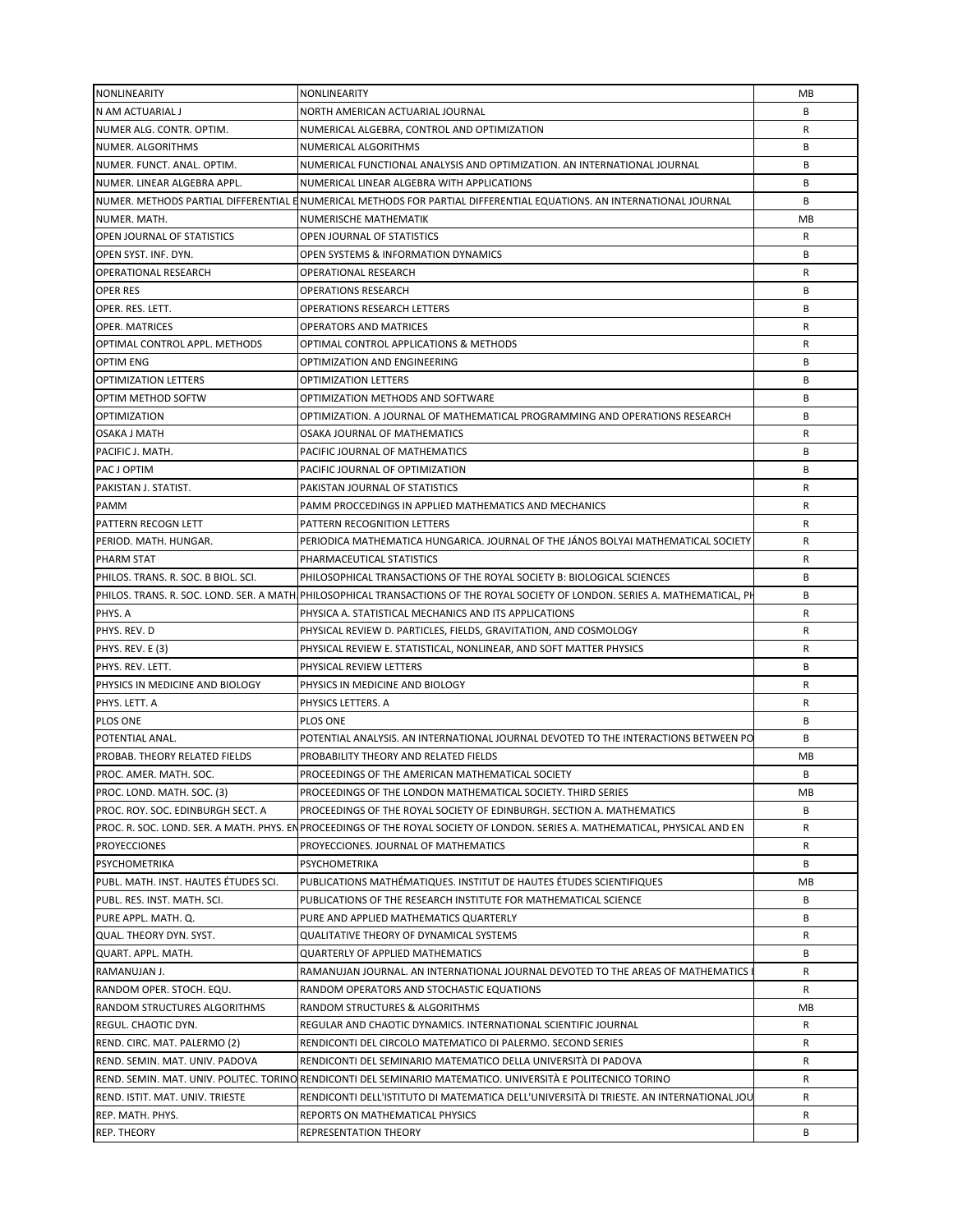| NONLINEARITY                         | NONLINEARITY                                                                                                                   | MB |
|--------------------------------------|--------------------------------------------------------------------------------------------------------------------------------|----|
| N AM ACTUARIAL J                     | NORTH AMERICAN ACTUARIAL JOURNAL                                                                                               | B  |
| NUMER ALG. CONTR. OPTIM.             | NUMERICAL ALGEBRA, CONTROL AND OPTIMIZATION                                                                                    | R  |
| NUMER. ALGORITHMS                    | NUMERICAL ALGORITHMS                                                                                                           | B  |
| NUMER. FUNCT. ANAL. OPTIM.           | NUMERICAL FUNCTIONAL ANALYSIS AND OPTIMIZATION. AN INTERNATIONAL JOURNAL                                                       | B  |
| NUMER. LINEAR ALGEBRA APPL.          | NUMERICAL LINEAR ALGEBRA WITH APPLICATIONS                                                                                     | B  |
|                                      | NUMER. METHODS PARTIAL DIFFERENTIAL E NUMERICAL METHODS FOR PARTIAL DIFFERENTIAL EQUATIONS. AN INTERNATIONAL JOURNAL           | B  |
| NUMER. MATH.                         | NUMERISCHE MATHEMATIK                                                                                                          | MB |
| OPEN JOURNAL OF STATISTICS           | OPEN JOURNAL OF STATISTICS                                                                                                     | R  |
| OPEN SYST. INF. DYN.                 | OPEN SYSTEMS & INFORMATION DYNAMICS                                                                                            | B  |
| <b>OPERATIONAL RESEARCH</b>          | OPERATIONAL RESEARCH                                                                                                           | R  |
| <b>OPER RES</b>                      | <b>OPERATIONS RESEARCH</b>                                                                                                     | B  |
| OPER. RES. LETT.                     | <b>OPERATIONS RESEARCH LETTERS</b>                                                                                             | B  |
| <b>OPER. MATRICES</b>                | <b>OPERATORS AND MATRICES</b>                                                                                                  | R  |
| OPTIMAL CONTROL APPL. METHODS        | OPTIMAL CONTROL APPLICATIONS & METHODS                                                                                         | R  |
| <b>OPTIM ENG</b>                     | OPTIMIZATION AND ENGINEERING                                                                                                   | B  |
| <b>OPTIMIZATION LETTERS</b>          | OPTIMIZATION LETTERS                                                                                                           | B  |
| OPTIM METHOD SOFTW                   |                                                                                                                                | B  |
|                                      | OPTIMIZATION METHODS AND SOFTWARE                                                                                              |    |
| <b>OPTIMIZATION</b>                  | OPTIMIZATION. A JOURNAL OF MATHEMATICAL PROGRAMMING AND OPERATIONS RESEARCH                                                    | B  |
| OSAKA J MATH                         | OSAKA JOURNAL OF MATHEMATICS                                                                                                   | R  |
| PACIFIC J. MATH.                     | PACIFIC JOURNAL OF MATHEMATICS                                                                                                 | B  |
| PAC J OPTIM                          | PACIFIC JOURNAL OF OPTIMIZATION                                                                                                | B  |
| PAKISTAN J. STATIST.                 | PAKISTAN JOURNAL OF STATISTICS                                                                                                 | R  |
| PAMM                                 | PAMM PROCCEDINGS IN APPLIED MATHEMATICS AND MECHANICS                                                                          | R  |
| PATTERN RECOGN LETT                  | PATTERN RECOGNITION LETTERS                                                                                                    | R  |
| PERIOD. MATH. HUNGAR.                | PERIODICA MATHEMATICA HUNGARICA. JOURNAL OF THE JANOS BOLYAI MATHEMATICAL SOCIETY                                              | R  |
| PHARM STAT                           | PHARMACEUTICAL STATISTICS                                                                                                      | R  |
| PHILOS. TRANS. R. SOC. B BIOL. SCI.  | PHILOSOPHICAL TRANSACTIONS OF THE ROYAL SOCIETY B: BIOLOGICAL SCIENCES                                                         | B  |
|                                      | PHILOS. TRANS. R. SOC. LOND. SER. A MATH PHILOSOPHICAL TRANSACTIONS OF THE ROYAL SOCIETY OF LONDON. SERIES A. MATHEMATICAL, PH | B  |
| PHYS. A                              | PHYSICA A. STATISTICAL MECHANICS AND ITS APPLICATIONS                                                                          | R  |
| PHYS. REV. D                         | PHYSICAL REVIEW D. PARTICLES, FIELDS, GRAVITATION, AND COSMOLOGY                                                               | R  |
| <b>PHYS. REV. E (3)</b>              | PHYSICAL REVIEW E. STATISTICAL, NONLINEAR, AND SOFT MATTER PHYSICS                                                             | R  |
| PHYS. REV. LETT.                     | PHYSICAL REVIEW LETTERS                                                                                                        | B  |
| PHYSICS IN MEDICINE AND BIOLOGY      | PHYSICS IN MEDICINE AND BIOLOGY                                                                                                | R  |
| PHYS. LETT. A                        | PHYSICS LETTERS. A                                                                                                             | R  |
| <b>PLOS ONE</b>                      | PLOS ONE                                                                                                                       | B  |
| POTENTIAL ANAL.                      | POTENTIAL ANALYSIS. AN INTERNATIONAL JOURNAL DEVOTED TO THE INTERACTIONS BETWEEN PO                                            | B  |
| PROBAB. THEORY RELATED FIELDS        | PROBABILITY THEORY AND RELATED FIELDS                                                                                          | MB |
| <b>IPROC. AMER. MATH. SOC.</b>       | PROCEEDINGS OF THE AMERICAN MATHEMATICAL SOCIETY                                                                               | B  |
| PROC. LOND. MATH. SOC. (3)           | PROCEEDINGS OF THE LONDON MATHEMATICAL SOCIETY. THIRD SERIES                                                                   | MВ |
| PROC. ROY. SOC. EDINBURGH SECT. A    | PROCEEDINGS OF THE ROYAL SOCIETY OF EDINBURGH. SECTION A. MATHEMATICS                                                          | B  |
|                                      | PROC. R. SOC. LOND. SER. A MATH. PHYS. ENPROCEEDINGS OF THE ROYAL SOCIETY OF LONDON. SERIES A. MATHEMATICAL, PHYSICAL AND EN   | R  |
| <b>PROYECCIONES</b>                  | PROYECCIONES. JOURNAL OF MATHEMATICS                                                                                           | R  |
| <b>PSYCHOMETRIKA</b>                 | PSYCHOMETRIKA                                                                                                                  | В  |
| PUBL. MATH. INST. HAUTES ÉTUDES SCI. | PUBLICATIONS MATHÉMATIQUES. INSTITUT DE HAUTES ÉTUDES SCIENTIFIQUES                                                            | MB |
| PUBL. RES. INST. MATH. SCI.          | PUBLICATIONS OF THE RESEARCH INSTITUTE FOR MATHEMATICAL SCIENCE                                                                | B  |
| PURE APPL. MATH. Q.                  | PURE AND APPLIED MATHEMATICS QUARTERLY                                                                                         | B  |
| QUAL. THEORY DYN. SYST.              | QUALITATIVE THEORY OF DYNAMICAL SYSTEMS                                                                                        | R  |
| QUART. APPL. MATH.                   | <b>QUARTERLY OF APPLIED MATHEMATICS</b>                                                                                        | B  |
| RAMANUJAN J.                         | RAMANUJAN JOURNAL. AN INTERNATIONAL JOURNAL DEVOTED TO THE AREAS OF MATHEMATICS                                                | R  |
| RANDOM OPER. STOCH. EQU.             | RANDOM OPERATORS AND STOCHASTIC EQUATIONS                                                                                      | R  |
| RANDOM STRUCTURES ALGORITHMS         | RANDOM STRUCTURES & ALGORITHMS                                                                                                 | MВ |
| REGUL. CHAOTIC DYN.                  | REGULAR AND CHAOTIC DYNAMICS. INTERNATIONAL SCIENTIFIC JOURNAL                                                                 | R  |
| REND. CIRC. MAT. PALERMO (2)         | RENDICONTI DEL CIRCOLO MATEMATICO DI PALERMO. SECOND SERIES                                                                    | R  |
| REND. SEMIN. MAT. UNIV. PADOVA       | RENDICONTI DEL SEMINARIO MATEMATICO DELLA UNIVERSITÀ DI PADOVA                                                                 | R  |
|                                      | REND. SEMIN. MAT. UNIV. POLITEC. TORINO RENDICONTI DEL SEMINARIO MATEMATICO. UNIVERSITÀ E POLITECNICO TORINO                   | R  |
| REND. ISTIT. MAT. UNIV. TRIESTE      | RENDICONTI DELL'ISTITUTO DI MATEMATICA DELL'UNIVERSITÀ DI TRIESTE. AN INTERNATIONAL JOU                                        | R  |
| REP. MATH. PHYS.                     | REPORTS ON MATHEMATICAL PHYSICS                                                                                                | R  |
| <b>REP. THEORY</b>                   | REPRESENTATION THEORY                                                                                                          | B  |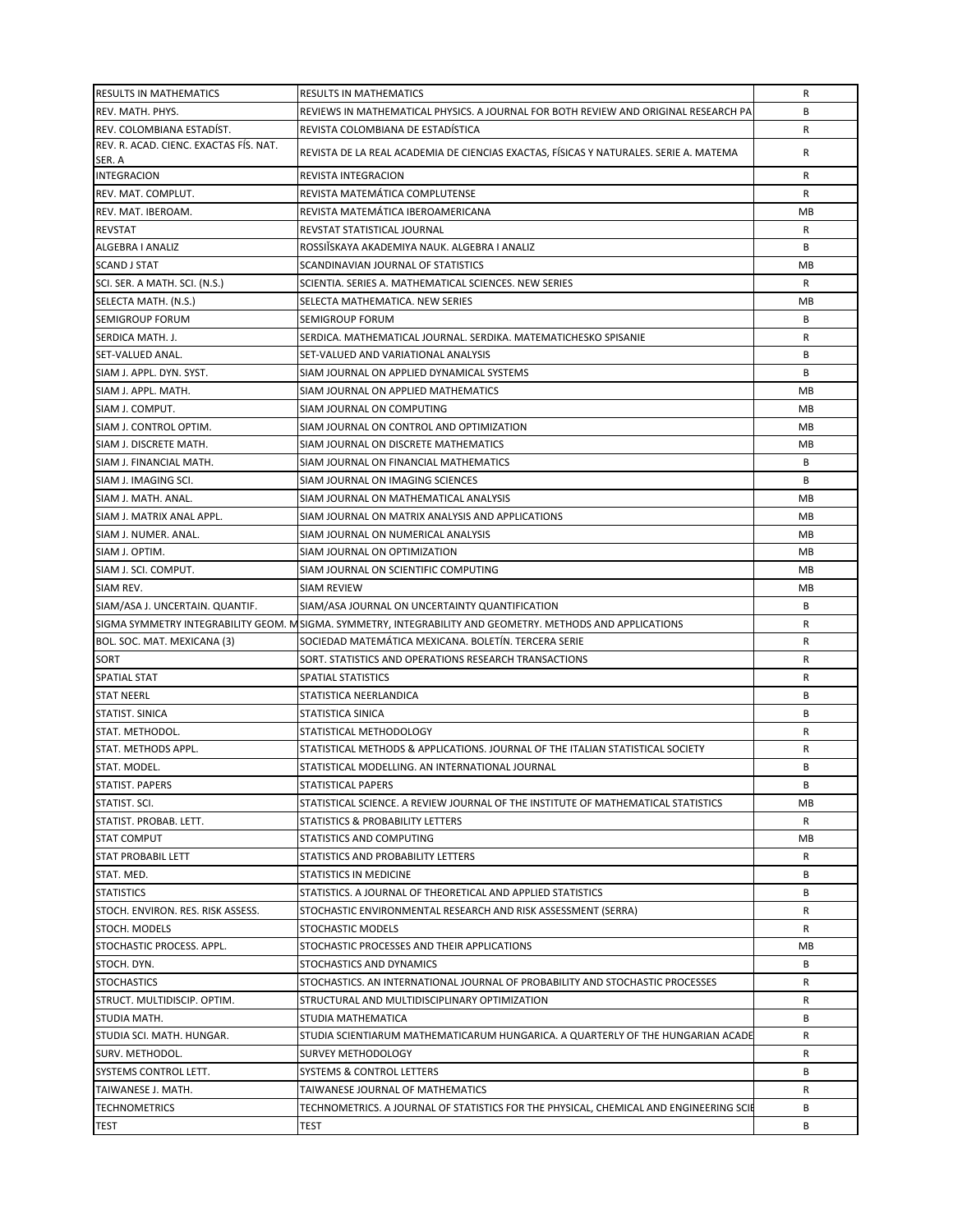| <b>RESULTS IN MATHEMATICS</b>                         | <b>RESULTS IN MATHEMATICS</b>                                                                                                                                     | R       |
|-------------------------------------------------------|-------------------------------------------------------------------------------------------------------------------------------------------------------------------|---------|
| REV. MATH. PHYS.                                      | REVIEWS IN MATHEMATICAL PHYSICS. A JOURNAL FOR BOTH REVIEW AND ORIGINAL RESEARCH PA                                                                               | B       |
| REV. COLOMBIANA ESTADÍST.                             | REVISTA COLOMBIANA DE ESTADÍSTICA                                                                                                                                 | R       |
| REV. R. ACAD. CIENC. EXACTAS FÍS. NAT.                | REVISTA DE LA REAL ACADEMIA DE CIENCIAS EXACTAS, FÍSICAS Y NATURALES. SERIE A. MATEMA                                                                             | R       |
| SER. A<br><b>INTEGRACION</b>                          |                                                                                                                                                                   |         |
|                                                       | REVISTA INTEGRACION<br>REVISTA MATEMÁTICA COMPLUTENSE                                                                                                             | R       |
| REV. MAT. COMPLUT.                                    |                                                                                                                                                                   | R       |
| REV. MAT. IBEROAM.                                    | REVISTA MATEMÁTICA IBEROAMERICANA                                                                                                                                 | MВ      |
| <b>REVSTAT</b>                                        | REVSTAT STATISTICAL JOURNAL<br>ROSSIĬSKAYA AKADEMIYA NAUK. ALGEBRA I ANALIZ                                                                                       | R<br>B  |
| ALGEBRA I ANALIZ<br><b>SCAND J STAT</b>               | SCANDINAVIAN JOURNAL OF STATISTICS                                                                                                                                | МB      |
|                                                       | SCIENTIA. SERIES A. MATHEMATICAL SCIENCES. NEW SERIES                                                                                                             | R       |
| SCI. SER. A MATH. SCI. (N.S.)<br>SELECTA MATH. (N.S.) | SELECTA MATHEMATICA. NEW SERIES                                                                                                                                   | МB      |
|                                                       |                                                                                                                                                                   | B       |
| <b>SEMIGROUP FORUM</b>                                | SEMIGROUP FORUM<br>SERDICA. MATHEMATICAL JOURNAL. SERDIKA. MATEMATICHESKO SPISANIE                                                                                | R       |
| SERDICA MATH. J.                                      | SET-VALUED AND VARIATIONAL ANALYSIS                                                                                                                               | B       |
| SET-VALUED ANAL.                                      |                                                                                                                                                                   | B       |
| SIAM J. APPL. DYN. SYST.                              | SIAM JOURNAL ON APPLIED DYNAMICAL SYSTEMS                                                                                                                         | МB      |
| SIAM J. APPL. MATH.<br>SIAM J. COMPUT.                | SIAM JOURNAL ON APPLIED MATHEMATICS<br>SIAM JOURNAL ON COMPUTING                                                                                                  | МB      |
| SIAM J. CONTROL OPTIM.                                |                                                                                                                                                                   | MВ      |
| SIAM J. DISCRETE MATH.                                | SIAM JOURNAL ON CONTROL AND OPTIMIZATION<br>SIAM JOURNAL ON DISCRETE MATHEMATICS                                                                                  |         |
| SIAM J. FINANCIAL MATH.                               | SIAM JOURNAL ON FINANCIAL MATHEMATICS                                                                                                                             | MВ<br>B |
|                                                       |                                                                                                                                                                   | B       |
| SIAM J. IMAGING SCI.<br>SIAM J. MATH. ANAL.           | SIAM JOURNAL ON IMAGING SCIENCES                                                                                                                                  |         |
|                                                       | SIAM JOURNAL ON MATHEMATICAL ANALYSIS<br>SIAM JOURNAL ON MATRIX ANALYSIS AND APPLICATIONS                                                                         | MВ      |
| SIAM J. MATRIX ANAL APPL.                             | SIAM JOURNAL ON NUMERICAL ANALYSIS                                                                                                                                | МB      |
| SIAM J. NUMER. ANAL.                                  |                                                                                                                                                                   | МB      |
| SIAM J. OPTIM.                                        | SIAM JOURNAL ON OPTIMIZATION                                                                                                                                      | MВ      |
| SIAM J. SCI. COMPUT.                                  | SIAM JOURNAL ON SCIENTIFIC COMPUTING                                                                                                                              | MВ      |
| SIAM REV.                                             | <b>SIAM REVIEW</b>                                                                                                                                                | МB<br>B |
| SIAM/ASA J. UNCERTAIN. QUANTIF.                       | SIAM/ASA JOURNAL ON UNCERTAINTY QUANTIFICATION                                                                                                                    | R       |
|                                                       | SIGMA SYMMETRY INTEGRABILITY GEOM. MSIGMA. SYMMETRY, INTEGRABILITY AND GEOMETRY. METHODS AND APPLICATIONS<br>SOCIEDAD MATEMÁTICA MEXICANA. BOLETÍN. TERCERA SERIE | R       |
| BOL. SOC. MAT. MEXICANA (3)<br>SORT                   | SORT. STATISTICS AND OPERATIONS RESEARCH TRANSACTIONS                                                                                                             | R       |
| <b>SPATIAL STAT</b>                                   | <b>SPATIAL STATISTICS</b>                                                                                                                                         | R       |
| <b>STAT NEERL</b>                                     | STATISTICA NEERLANDICA                                                                                                                                            | B       |
| STATIST. SINICA                                       | STATISTICA SINICA                                                                                                                                                 | B       |
| STAT. METHODOL.                                       | STATISTICAL METHODOLOGY                                                                                                                                           | R       |
| STAT. METHODS APPL.                                   | STATISTICAL METHODS & APPLICATIONS. JOURNAL OF THE ITALIAN STATISTICAL SOCIETY                                                                                    | R       |
| STAT. MODEL.                                          | STATISTICAL MODELLING. AN INTERNATIONAL JOURNAL                                                                                                                   | B       |
| STATIST. PAPERS                                       | STATISTICAL PAPERS                                                                                                                                                | В       |
| STATIST. SCI.                                         | STATISTICAL SCIENCE. A REVIEW JOURNAL OF THE INSTITUTE OF MATHEMATICAL STATISTICS                                                                                 | MВ      |
| STATIST. PROBAB. LETT.                                | STATISTICS & PROBABILITY LETTERS                                                                                                                                  | R       |
| <b>STAT COMPUT</b>                                    | STATISTICS AND COMPUTING                                                                                                                                          | МB      |
| <b>STAT PROBABIL LETT</b>                             | STATISTICS AND PROBABILITY LETTERS                                                                                                                                | R       |
| STAT. MED.                                            | STATISTICS IN MEDICINE                                                                                                                                            | В       |
| <b>STATISTICS</b>                                     | STATISTICS. A JOURNAL OF THEORETICAL AND APPLIED STATISTICS                                                                                                       | В       |
| STOCH. ENVIRON. RES. RISK ASSESS.                     | STOCHASTIC ENVIRONMENTAL RESEARCH AND RISK ASSESSMENT (SERRA)                                                                                                     | R       |
| STOCH. MODELS                                         | STOCHASTIC MODELS                                                                                                                                                 | R       |
| STOCHASTIC PROCESS. APPL.                             | STOCHASTIC PROCESSES AND THEIR APPLICATIONS                                                                                                                       | МB      |
| STOCH. DYN.                                           | STOCHASTICS AND DYNAMICS                                                                                                                                          | В       |
| <b>STOCHASTICS</b>                                    | STOCHASTICS. AN INTERNATIONAL JOURNAL OF PROBABILITY AND STOCHASTIC PROCESSES                                                                                     | R       |
| STRUCT. MULTIDISCIP. OPTIM.                           | STRUCTURAL AND MULTIDISCIPLINARY OPTIMIZATION                                                                                                                     | R       |
| STUDIA MATH.                                          | STUDIA MATHEMATICA                                                                                                                                                | В       |
| STUDIA SCI. MATH. HUNGAR.                             | STUDIA SCIENTIARUM MATHEMATICARUM HUNGARICA. A QUARTERLY OF THE HUNGARIAN ACADE                                                                                   | R       |
| SURV. METHODOL.                                       | SURVEY METHODOLOGY                                                                                                                                                | R       |
| SYSTEMS CONTROL LETT.                                 | SYSTEMS & CONTROL LETTERS                                                                                                                                         | B       |
| TAIWANESE J. MATH.                                    | TAIWANESE JOURNAL OF MATHEMATICS                                                                                                                                  | R       |
| <b>TECHNOMETRICS</b>                                  | TECHNOMETRICS. A JOURNAL OF STATISTICS FOR THE PHYSICAL, CHEMICAL AND ENGINEERING SCIE                                                                            | В       |
| <b>TEST</b>                                           | TEST                                                                                                                                                              | В       |
|                                                       |                                                                                                                                                                   |         |